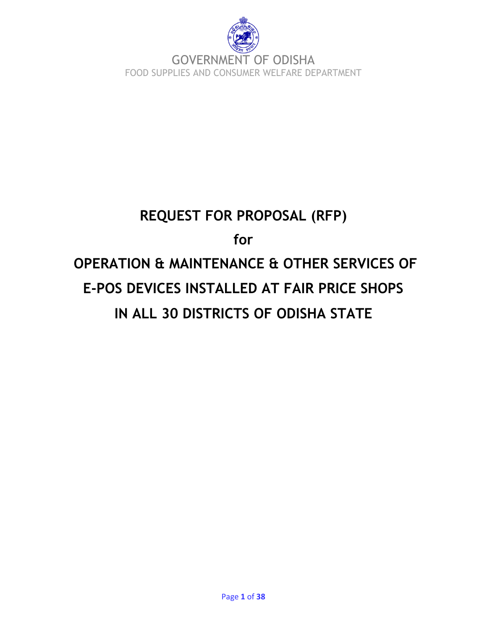

# **REQUEST FOR PROPOSAL (RFP) for OPERATION & MAINTENANCE & OTHER SERVICES OF E-POS DEVICES INSTALLED AT FAIR PRICE SHOPS IN ALL 30 DISTRICTS OF ODISHA STATE**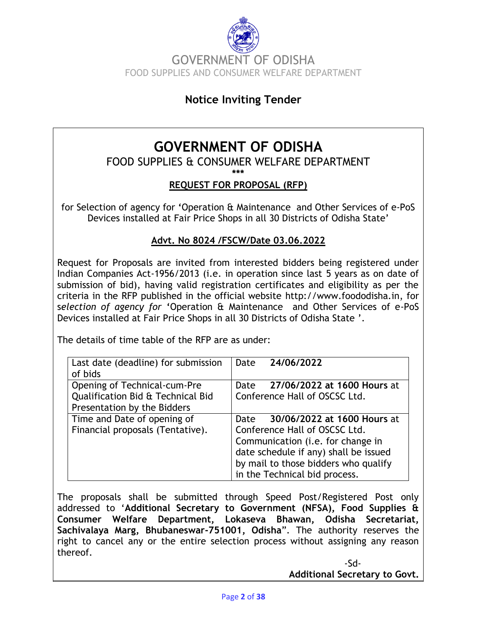

# **Notice Inviting Tender**

# **GOVERNMENT OF ODISHA**

## FOOD SUPPLIES & CONSUMER WELFARE DEPARTMENT

**\*\*\***

#### **REQUEST FOR PROPOSAL (RFP)**

for Selection of agency for **'**Operation & Maintenance and Other Services of e-PoS Devices installed at Fair Price Shops in all 30 Districts of Odisha State"

#### **Advt. No 8024 /FSCW/Date 03.06.2022**

Request for Proposals are invited from interested bidders being registered under Indian Companies Act-1956/2013 (i.e. in operation since last 5 years as on date of submission of bid), having valid registration certificates and eligibility as per the criteria in the RFP published in the official website [http://www.foododisha.in,](http://www.foododisha.in/) for s*election of agency for* **'**Operation & Maintenance and Other Services of e-PoS Devices installed at Fair Price Shops in all 30 Districts of Odisha State ".

The details of time table of the RFP are as under:

| Last date (deadline) for submission | 24/06/2022<br>Date                    |  |  |
|-------------------------------------|---------------------------------------|--|--|
| of bids                             |                                       |  |  |
| Opening of Technical-cum-Pre        | Date 27/06/2022 at 1600 Hours at      |  |  |
| Qualification Bid & Technical Bid   | Conference Hall of OSCSC Ltd.         |  |  |
| Presentation by the Bidders         |                                       |  |  |
| Time and Date of opening of         | 30/06/2022 at 1600 Hours at<br>Date   |  |  |
| Financial proposals (Tentative).    | Conference Hall of OSCSC Ltd.         |  |  |
|                                     | Communication (i.e. for change in     |  |  |
|                                     | date schedule if any) shall be issued |  |  |
|                                     | by mail to those bidders who qualify  |  |  |
|                                     | in the Technical bid process.         |  |  |

The proposals shall be submitted through Speed Post/Registered Post only addressed to "**Additional Secretary to Government (NFSA), Food Supplies & Consumer Welfare Department, Lokaseva Bhawan, Odisha Secretariat, Sachivalaya Marg, Bhubaneswar-751001, Odisha**". The authority reserves the right to cancel any or the entire selection process without assigning any reason thereof.

> -Sd-**Additional Secretary to Govt.**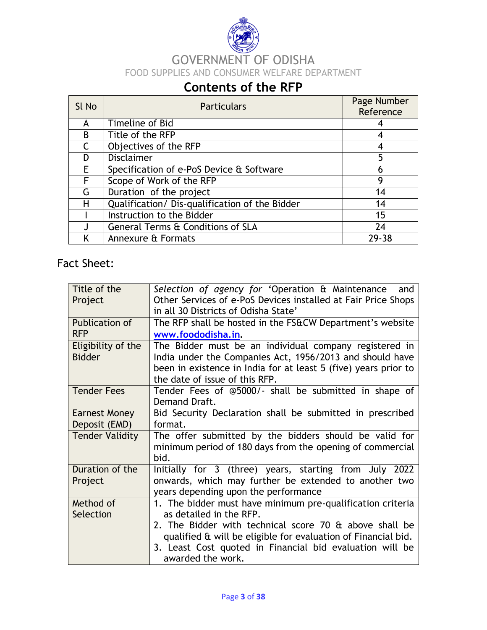

# **Contents of the RFP**

| SI No        | <b>Particulars</b>                             | Page Number<br>Reference |
|--------------|------------------------------------------------|--------------------------|
| A            | Timeline of Bid                                |                          |
| <sub>B</sub> | Title of the RFP                               | 4                        |
|              | Objectives of the RFP                          | 4                        |
| D            | <b>Disclaimer</b>                              | 5                        |
| E            | Specification of e-PoS Device & Software       | 6                        |
| F            | Scope of Work of the RFP                       | 9                        |
| G            | Duration of the project                        | 14                       |
| H            | Qualification/ Dis-qualification of the Bidder | 14                       |
|              | Instruction to the Bidder                      | 15                       |
|              | General Terms & Conditions of SLA              | 24                       |
|              | Annexure & Formats                             | 29-38                    |

# Fact Sheet:

| Title of the           | Selection of agency for 'Operation & Maintenance and                                                  |
|------------------------|-------------------------------------------------------------------------------------------------------|
| Project                | Other Services of e-PoS Devices installed at Fair Price Shops<br>in all 30 Districts of Odisha State' |
| Publication of         | The RFP shall be hosted in the FS&CW Department's website                                             |
| <b>RFP</b>             | www.foododisha.in.                                                                                    |
| Eligibility of the     | The Bidder must be an individual company registered in                                                |
| <b>Bidder</b>          | India under the Companies Act, 1956/2013 and should have                                              |
|                        | been in existence in India for at least 5 (five) years prior to                                       |
|                        | the date of issue of this RFP.                                                                        |
| <b>Tender Fees</b>     | Tender Fees of @5000/- shall be submitted in shape of                                                 |
|                        | Demand Draft.                                                                                         |
| <b>Earnest Money</b>   | Bid Security Declaration shall be submitted in prescribed                                             |
| Deposit (EMD)          | format.                                                                                               |
| <b>Tender Validity</b> | The offer submitted by the bidders should be valid for                                                |
|                        | minimum period of 180 days from the opening of commercial<br>bid.                                     |
| Duration of the        | Initially for 3 (three) years, starting from July 2022                                                |
| Project                | onwards, which may further be extended to another two                                                 |
|                        | years depending upon the performance                                                                  |
| Method of              | 1. The bidder must have minimum pre-qualification criteria                                            |
| Selection              | as detailed in the RFP.                                                                               |
|                        | 2. The Bidder with technical score 70 & above shall be                                                |
|                        | qualified & will be eligible for evaluation of Financial bid.                                         |
|                        | 3. Least Cost quoted in Financial bid evaluation will be                                              |
|                        | awarded the work.                                                                                     |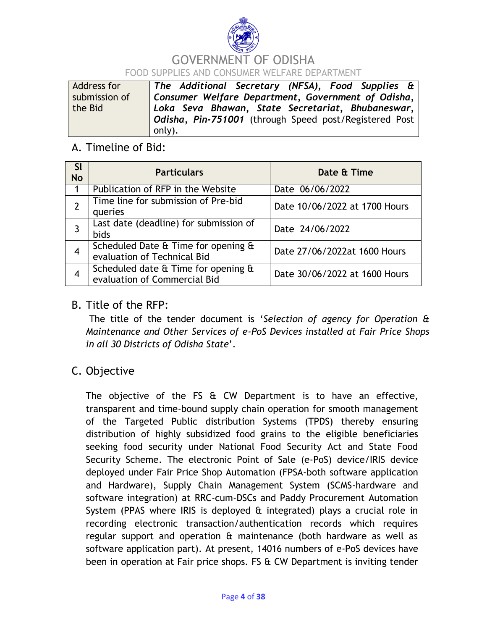

# GOVERNMENT OF ODISHA FOOD SUPPLIES AND CONSUMER WELFARE DEPARTMENT

| Address for   | The Additional Secretary (NFSA), Food Supplies $\hat{a}$ |
|---------------|----------------------------------------------------------|
| submission of | Consumer Welfare Department, Government of Odisha,       |
| the Bid       | Loka Seva Bhawan, State Secretariat, Bhubaneswar,        |
|               | Odisha, Pin-751001 (through Speed post/Registered Post   |
|               | only).                                                   |

## A. Timeline of Bid:

| <b>SI</b><br><b>No</b> | <b>Particulars</b>                                                  | Date & Time                   |
|------------------------|---------------------------------------------------------------------|-------------------------------|
| 1                      | Publication of RFP in the Website                                   | Date 06/06/2022               |
|                        | Time line for submission of Pre-bid<br>queries                      | Date 10/06/2022 at 1700 Hours |
| 3                      | Last date (deadline) for submission of<br><b>bids</b>               | Date 24/06/2022               |
| 4                      | Scheduled Date & Time for opening &<br>evaluation of Technical Bid  | Date 27/06/2022at 1600 Hours  |
|                        | Scheduled date & Time for opening &<br>evaluation of Commercial Bid | Date 30/06/2022 at 1600 Hours |

## B. Title of the RFP:

The title of the tender document is "*Selection of agency for Operation & Maintenance and Other Services of e-PoS Devices installed at Fair Price Shops in all 30 Districts of Odisha State*".

# C. Objective

The objective of the FS & CW Department is to have an effective, transparent and time-bound supply chain operation for smooth management of the Targeted Public distribution Systems (TPDS) thereby ensuring distribution of highly subsidized food grains to the eligible beneficiaries seeking food security under National Food Security Act and State Food Security Scheme. The electronic Point of Sale (e-PoS) device/IRIS device deployed under Fair Price Shop Automation (FPSA-both software application and Hardware), Supply Chain Management System (SCMS-hardware and software integration) at RRC-cum-DSCs and Paddy Procurement Automation System (PPAS where IRIS is deployed & integrated) plays a crucial role in recording electronic transaction/authentication records which requires regular support and operation & maintenance (both hardware as well as software application part). At present, 14016 numbers of e-PoS devices have been in operation at Fair price shops. FS & CW Department is inviting tender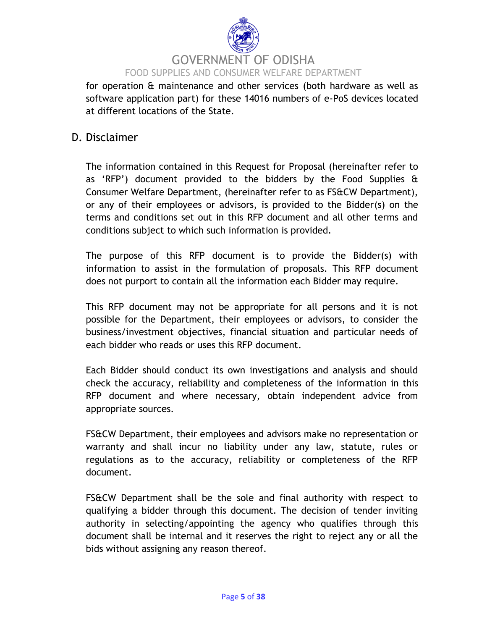

for operation & maintenance and other services (both hardware as well as software application part) for these 14016 numbers of e-PoS devices located at different locations of the State.

### D. Disclaimer

The information contained in this Request for Proposal (hereinafter refer to as "RFP") document provided to the bidders by the Food Supplies & Consumer Welfare Department, (hereinafter refer to as FS&CW Department), or any of their employees or advisors, is provided to the Bidder(s) on the terms and conditions set out in this RFP document and all other terms and conditions subject to which such information is provided.

The purpose of this RFP document is to provide the Bidder(s) with information to assist in the formulation of proposals. This RFP document does not purport to contain all the information each Bidder may require.

This RFP document may not be appropriate for all persons and it is not possible for the Department, their employees or advisors, to consider the business/investment objectives, financial situation and particular needs of each bidder who reads or uses this RFP document.

Each Bidder should conduct its own investigations and analysis and should check the accuracy, reliability and completeness of the information in this RFP document and where necessary, obtain independent advice from appropriate sources.

FS&CW Department, their employees and advisors make no representation or warranty and shall incur no liability under any law, statute, rules or regulations as to the accuracy, reliability or completeness of the RFP document.

FS&CW Department shall be the sole and final authority with respect to qualifying a bidder through this document. The decision of tender inviting authority in selecting/appointing the agency who qualifies through this document shall be internal and it reserves the right to reject any or all the bids without assigning any reason thereof.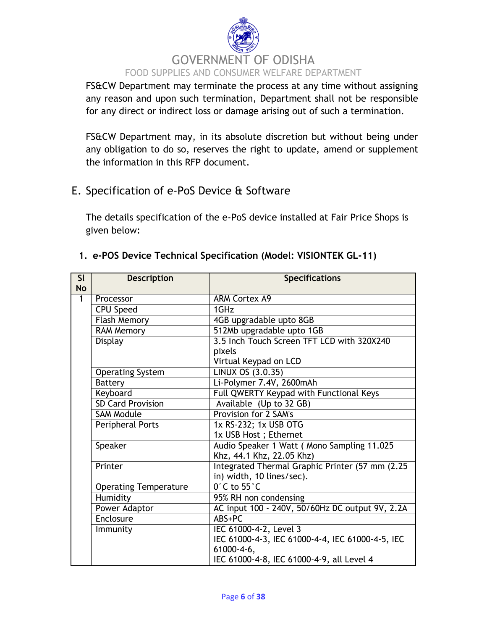# GOVERNMENT OF ODISHA FOOD SUPPLIES AND CONSUMER WELFARE DEPARTMENT

FS&CW Department may terminate the process at any time without assigning any reason and upon such termination, Department shall not be responsible for any direct or indirect loss or damage arising out of such a termination.

FS&CW Department may, in its absolute discretion but without being under any obligation to do so, reserves the right to update, amend or supplement the information in this RFP document.

# E. Specification of e-PoS Device & Software

The details specification of the e-PoS device installed at Fair Price Shops is given below:

|  |  |  |  |  |  | 1. e-POS Device Technical Specification (Model: VISIONTEK GL-11) |  |
|--|--|--|--|--|--|------------------------------------------------------------------|--|
|--|--|--|--|--|--|------------------------------------------------------------------|--|

| SI<br><b>No</b> | <b>Description</b>           | <b>Specifications</b>                                                    |  |
|-----------------|------------------------------|--------------------------------------------------------------------------|--|
| $\overline{1}$  | Processor                    | <b>ARM Cortex A9</b>                                                     |  |
|                 | <b>CPU Speed</b>             | 1GHz                                                                     |  |
|                 | <b>Flash Memory</b>          | 4GB upgradable upto 8GB                                                  |  |
|                 | <b>RAM Memory</b>            | 512Mb upgradable upto 1GB                                                |  |
|                 | Display                      | 3.5 Inch Touch Screen TFT LCD with 320X240                               |  |
|                 |                              | pixels                                                                   |  |
|                 |                              | Virtual Keypad on LCD                                                    |  |
|                 | <b>Operating System</b>      | LINUX OS (3.0.35)                                                        |  |
|                 | <b>Battery</b>               | Li-Polymer 7.4V, 2600mAh                                                 |  |
|                 | Keyboard                     | Full QWERTY Keypad with Functional Keys                                  |  |
|                 | <b>SD Card Provision</b>     | Available (Up to 32 GB)                                                  |  |
|                 | <b>SAM Module</b>            | Provision for 2 SAM's                                                    |  |
|                 | Peripheral Ports             | 1x RS-232; 1x USB OTG                                                    |  |
|                 |                              | 1x USB Host; Ethernet                                                    |  |
|                 | Speaker                      | Audio Speaker 1 Watt ( Mono Sampling 11.025                              |  |
|                 |                              | Khz, 44.1 Khz, 22.05 Khz)                                                |  |
|                 | Printer                      | Integrated Thermal Graphic Printer (57 mm (2.25)                         |  |
|                 |                              | in) width, 10 lines/sec).<br>$0^\circ$ C to 55 $^\circ$ C                |  |
|                 | <b>Operating Temperature</b> |                                                                          |  |
|                 | <b>Humidity</b>              | 95% RH non condensing<br>AC input 100 - 240V, 50/60Hz DC output 9V, 2.2A |  |
|                 | Power Adaptor<br>Enclosure   | ABS+PC                                                                   |  |
|                 |                              | IEC 61000-4-2, Level 3                                                   |  |
|                 | Immunity                     | IEC 61000-4-3, IEC 61000-4-4, IEC 61000-4-5, IEC                         |  |
|                 |                              | $61000 - 4 - 6$ ,                                                        |  |
|                 |                              | IEC 61000-4-8, IEC 61000-4-9, all Level 4                                |  |
|                 |                              |                                                                          |  |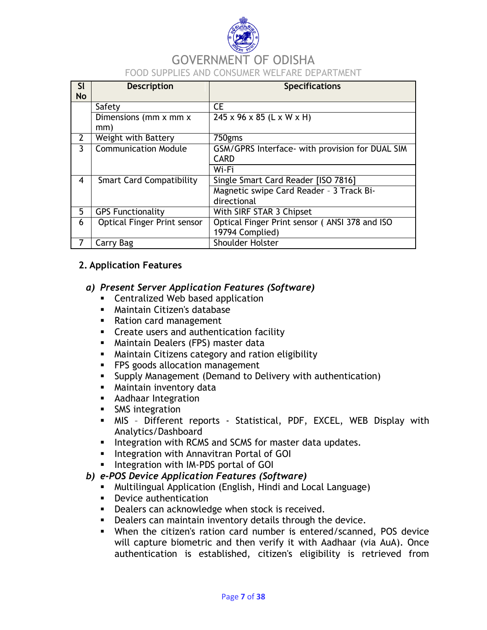

| <b>SI</b><br><b>No</b> | <b>Description</b>                 | <b>Specifications</b>                                          |  |  |
|------------------------|------------------------------------|----------------------------------------------------------------|--|--|
|                        | Safety                             | <b>CE</b>                                                      |  |  |
|                        | Dimensions (mm x mm x<br>mm)       | $245 \times 96 \times 85$ (L x W x H)                          |  |  |
| $\mathbf{2}$           | Weight with Battery                | 750gms                                                         |  |  |
| 3                      | <b>Communication Module</b>        | GSM/GPRS Interface- with provision for DUAL SIM<br><b>CARD</b> |  |  |
|                        |                                    | Wi-Fi                                                          |  |  |
| 4                      | <b>Smart Card Compatibility</b>    | Single Smart Card Reader [ISO 7816]                            |  |  |
|                        |                                    | Magnetic swipe Card Reader - 3 Track Bi-                       |  |  |
|                        |                                    | directional                                                    |  |  |
| 5                      | <b>GPS Functionality</b>           | With SIRF STAR 3 Chipset                                       |  |  |
| 6                      | <b>Optical Finger Print sensor</b> | Optical Finger Print sensor (ANSI 378 and ISO                  |  |  |
|                        |                                    | 19794 Complied)                                                |  |  |
| $\overline{7}$         | Carry Bag                          | <b>Shoulder Holster</b>                                        |  |  |

#### **2. Application Features**

#### *a) Present Server Application Features (Software)*

- **EXEC** Centralized Web based application
- Maintain Citizen's database
- Ration card management
- **Create users and authentication facility**
- **Maintain Dealers (FPS) master data**
- **Maintain Citizens category and ration eligibility**
- **FPS** goods allocation management
- Supply Management (Demand to Delivery with authentication)
- **Maintain inventory data**
- **Aadhaar Integration**
- **SMS** integration
- MIS Different reports Statistical, PDF, EXCEL, WEB Display with Analytics/Dashboard
- **Integration with RCMS and SCMS for master data updates.**
- **Integration with Annavitran Portal of GOI**
- Integration with IM-PDS portal of GOI

#### *b) e-POS Device Application Features (Software)*

- Multilingual Application (English, Hindi and Local Language)
- **•** Device authentication
- **Dealers can acknowledge when stock is received.**
- **Dealers can maintain inventory details through the device.**
- When the citizen's ration card number is entered/scanned, POS device will capture biometric and then verify it with Aadhaar (via AuA). Once authentication is established, citizen's eligibility is retrieved from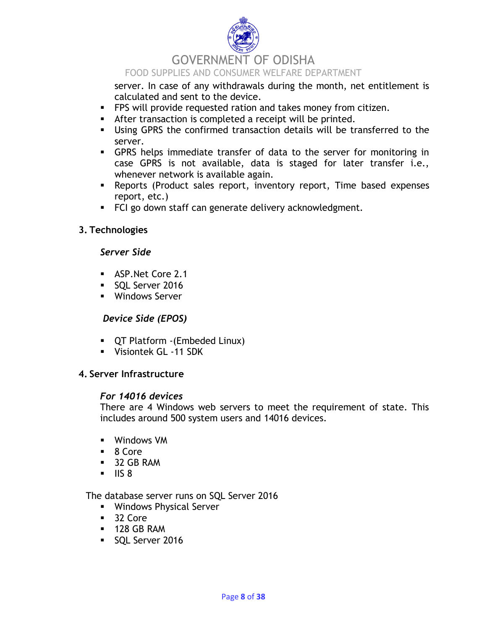

# GOVERNMENT OF ODISHA

#### FOOD SUPPLIES AND CONSUMER WELFARE DEPARTMENT

server. In case of any withdrawals during the month, net entitlement is calculated and sent to the device.

- **FPS** will provide requested ration and takes money from citizen.
- After transaction is completed a receipt will be printed.
- Using GPRS the confirmed transaction details will be transferred to the server.
- GPRS helps immediate transfer of data to the server for monitoring in case GPRS is not available, data is staged for later transfer i.e., whenever network is available again.
- Reports (Product sales report, inventory report, Time based expenses report, etc.)
- **FCI go down staff can generate delivery acknowledgment.**

#### **3. Technologies**

#### *Server Side*

- **ASP.Net Core 2.1**
- SQL Server 2016
- **Windows Server**

#### *Device Side (EPOS)*

- QT Platform -(Embeded Linux)
- **Visiontek GL -11 SDK**

#### **4. Server Infrastructure**

#### *For 14016 devices*

There are 4 Windows web servers to meet the requirement of state. This includes around 500 system users and 14016 devices.

- Windows VM
- 8 Core
- 32 GB RAM
- $\blacksquare$  IIS 8

The database server runs on SQL Server 2016

- **Windows Physical Server**
- 32 Core
- **128 GB RAM**
- SOL Server 2016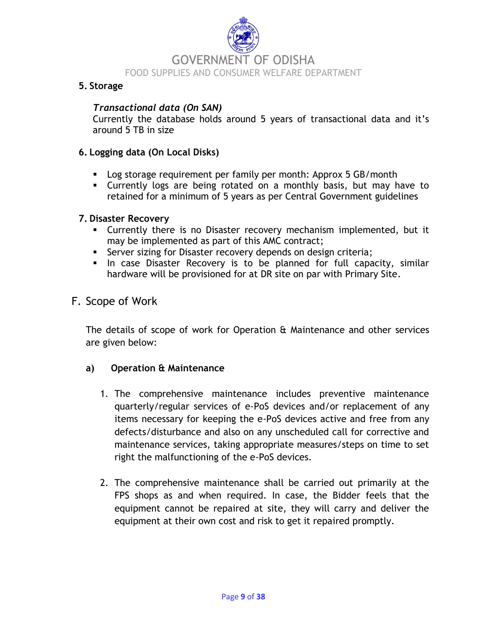

#### **5. Storage**

#### *Transactional data (On SAN)*

Currently the database holds around 5 years of transactional data and it"s around 5 TB in size

#### **6. Logging data (On Local Disks)**

- **Log storage requirement per family per month: Approx 5 GB/month**
- Currently logs are being rotated on a monthly basis, but may have to retained for a minimum of 5 years as per Central Government guidelines

#### **7. Disaster Recovery**

- Currently there is no Disaster recovery mechanism implemented, but it may be implemented as part of this AMC contract;
- **Server sizing for Disaster recovery depends on design criteria;**
- In case Disaster Recovery is to be planned for full capacity, similar hardware will be provisioned for at DR site on par with Primary Site.

#### F. Scope of Work

The details of scope of work for Operation & Maintenance and other services are given below:

#### **a) Operation & Maintenance**

- 1. The comprehensive maintenance includes preventive maintenance quarterly/regular services of e-PoS devices and/or replacement of any items necessary for keeping the e-PoS devices active and free from any defects/disturbance and also on any unscheduled call for corrective and maintenance services, taking appropriate measures/steps on time to set right the malfunctioning of the e-PoS devices.
- 2. The comprehensive maintenance shall be carried out primarily at the FPS shops as and when required. In case, the Bidder feels that the equipment cannot be repaired at site, they will carry and deliver the equipment at their own cost and risk to get it repaired promptly.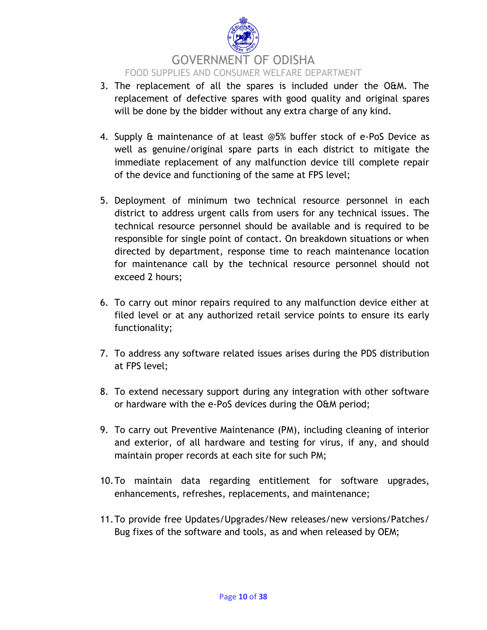

- 3. The replacement of all the spares is included under the O&M. The replacement of defective spares with good quality and original spares will be done by the bidder without any extra charge of any kind.
- 4. Supply & maintenance of at least @5% buffer stock of e-PoS Device as well as genuine/original spare parts in each district to mitigate the immediate replacement of any malfunction device till complete repair of the device and functioning of the same at FPS level;
- 5. Deployment of minimum two technical resource personnel in each district to address urgent calls from users for any technical issues. The technical resource personnel should be available and is required to be responsible for single point of contact. On breakdown situations or when directed by department, response time to reach maintenance location for maintenance call by the technical resource personnel should not exceed 2 hours;
- 6. To carry out minor repairs required to any malfunction device either at filed level or at any authorized retail service points to ensure its early functionality;
- 7. To address any software related issues arises during the PDS distribution at FPS level;
- 8. To extend necessary support during any integration with other software or hardware with the e-PoS devices during the O&M period;
- 9. To carry out Preventive Maintenance (PM), including cleaning of interior and exterior, of all hardware and testing for virus, if any, and should maintain proper records at each site for such PM;
- 10.To maintain data regarding entitlement for software upgrades, enhancements, refreshes, replacements, and maintenance;
- 11.To provide free Updates/Upgrades/New releases/new versions/Patches/ Bug fixes of the software and tools, as and when released by OEM;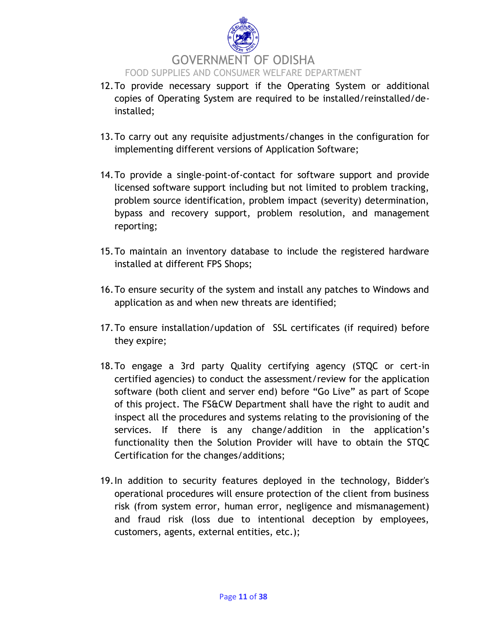

- 12.To provide necessary support if the Operating System or additional copies of Operating System are required to be installed/reinstalled/deinstalled;
- 13.To carry out any requisite adjustments/changes in the configuration for implementing different versions of Application Software;
- 14.To provide a single-point-of-contact for software support and provide licensed software support including but not limited to problem tracking, problem source identification, problem impact (severity) determination, bypass and recovery support, problem resolution, and management reporting;
- 15.To maintain an inventory database to include the registered hardware installed at different FPS Shops;
- 16.To ensure security of the system and install any patches to Windows and application as and when new threats are identified;
- 17.To ensure installation/updation of SSL certificates (if required) before they expire;
- 18.To engage a 3rd party Quality certifying agency (STQC or cert-in certified agencies) to conduct the assessment/review for the application software (both client and server end) before "Go Live" as part of Scope of this project. The FS&CW Department shall have the right to audit and inspect all the procedures and systems relating to the provisioning of the services. If there is any change/addition in the application's functionality then the Solution Provider will have to obtain the STQC Certification for the changes/additions;
- 19.In addition to security features deployed in the technology, Bidder's operational procedures will ensure protection of the client from business risk (from system error, human error, negligence and mismanagement) and fraud risk (loss due to intentional deception by employees, customers, agents, external entities, etc.);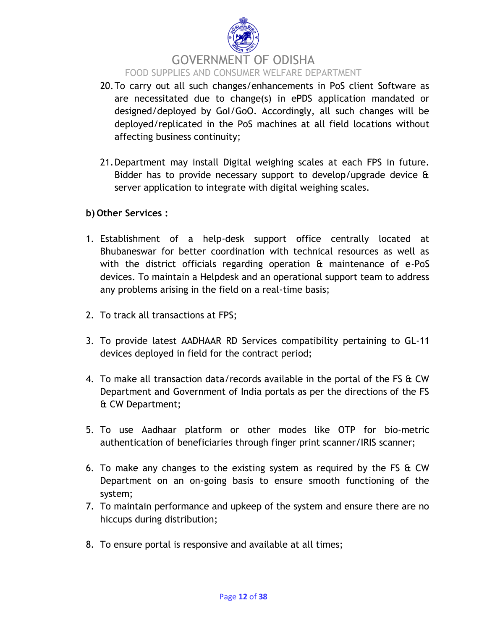

- 20.To carry out all such changes/enhancements in PoS client Software as are necessitated due to change(s) in ePDS application mandated or designed/deployed by GoI/GoO. Accordingly, all such changes will be deployed/replicated in the PoS machines at all field locations without affecting business continuity;
- 21.Department may install Digital weighing scales at each FPS in future. Bidder has to provide necessary support to develop/upgrade device & server application to integrate with digital weighing scales.

#### **b) Other Services :**

- 1. Establishment of a help-desk support office centrally located at Bhubaneswar for better coordination with technical resources as well as with the district officials regarding operation & maintenance of e-PoS devices. To maintain a Helpdesk and an operational support team to address any problems arising in the field on a real-time basis;
- 2. To track all transactions at FPS;
- 3. To provide latest AADHAAR RD Services compatibility pertaining to GL-11 devices deployed in field for the contract period;
- 4. To make all transaction data/records available in the portal of the FS & CW Department and Government of India portals as per the directions of the FS & CW Department;
- 5. To use Aadhaar platform or other modes like OTP for bio-metric authentication of beneficiaries through finger print scanner/IRIS scanner;
- 6. To make any changes to the existing system as required by the FS & CW Department on an on-going basis to ensure smooth functioning of the system;
- 7. To maintain performance and upkeep of the system and ensure there are no hiccups during distribution;
- 8. To ensure portal is responsive and available at all times;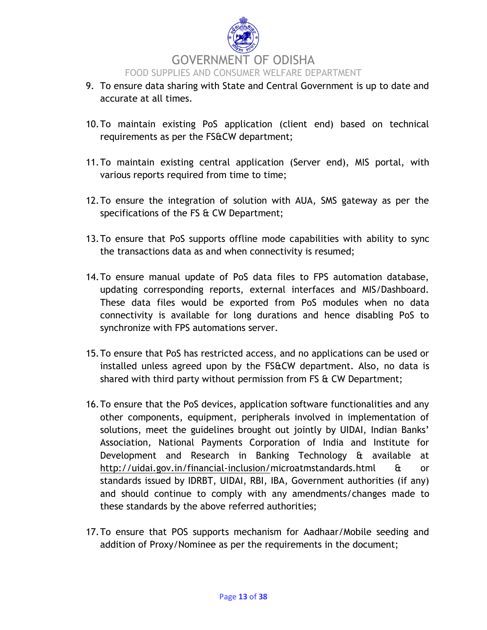

- 9. To ensure data sharing with State and Central Government is up to date and accurate at all times.
- 10.To maintain existing PoS application (client end) based on technical requirements as per the FS&CW department;
- 11.To maintain existing central application (Server end), MIS portal, with various reports required from time to time;
- 12.To ensure the integration of solution with AUA, SMS gateway as per the specifications of the FS & CW Department;
- 13.To ensure that PoS supports offline mode capabilities with ability to sync the transactions data as and when connectivity is resumed;
- 14.To ensure manual update of PoS data files to FPS automation database, updating corresponding reports, external interfaces and MIS/Dashboard. These data files would be exported from PoS modules when no data connectivity is available for long durations and hence disabling PoS to synchronize with FPS automations server.
- 15.To ensure that PoS has restricted access, and no applications can be used or installed unless agreed upon by the FS&CW department. Also, no data is shared with third party without permission from FS & CW Department;
- 16.To ensure that the PoS devices, application software functionalities and any other components, equipment, peripherals involved in implementation of solutions, meet the guidelines brought out jointly by UIDAI, Indian Banks' Association, National Payments Corporation of India and Institute for Development and Research in Banking Technology & available at [http://uidai.gov.in/financial-inclusion/m](http://uidai.gov.in/financial-inclusion/)icroatmstandards.html & or standards issued by IDRBT, UIDAI, RBI, IBA, Government authorities (if any) and should continue to comply with any amendments/changes made to these standards by the above referred authorities;
- 17.To ensure that POS supports mechanism for Aadhaar/Mobile seeding and addition of Proxy/Nominee as per the requirements in the document;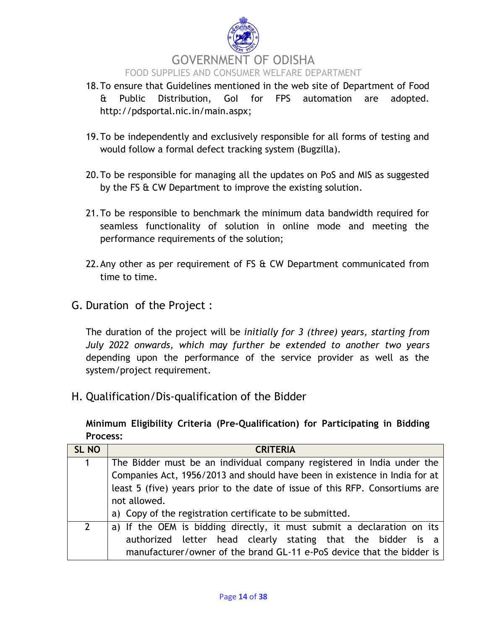

- 18.To ensure that Guidelines mentioned in the web site of Department of Food & Public Distribution, GoI for FPS automation are adopted. [http://pdsportal.nic.in/main.aspx;](http://pdsportal.nic.in/main.aspx)
- 19.To be independently and exclusively responsible for all forms of testing and would follow a formal defect tracking system (Bugzilla).
- 20.To be responsible for managing all the updates on PoS and MIS as suggested by the FS & CW Department to improve the existing solution.
- 21.To be responsible to benchmark the minimum data bandwidth required for seamless functionality of solution in online mode and meeting the performance requirements of the solution;
- 22. Any other as per requirement of FS & CW Department communicated from time to time.
- G. Duration of the Project :

The duration of the project will be *initially for 3 (three) years, starting from July 2022 onwards, which may further be extended to another two years* depending upon the performance of the service provider as well as the system/project requirement.

H. Qualification/Dis-qualification of the Bidder

**Minimum Eligibility Criteria (Pre-Qualification) for Participating in Bidding Process:**

| <b>SL NO</b>   | <b>CRITERIA</b>                                                              |  |  |
|----------------|------------------------------------------------------------------------------|--|--|
| 1              | The Bidder must be an individual company registered in India under the       |  |  |
|                | Companies Act, 1956/2013 and should have been in existence in India for at   |  |  |
|                | least 5 (five) years prior to the date of issue of this RFP. Consortiums are |  |  |
|                | not allowed.                                                                 |  |  |
|                | a) Copy of the registration certificate to be submitted.                     |  |  |
| $\overline{2}$ | a) If the OEM is bidding directly, it must submit a declaration on its       |  |  |
|                | authorized letter head clearly stating that the bidder is a                  |  |  |
|                | manufacturer/owner of the brand GL-11 e-PoS device that the bidder is        |  |  |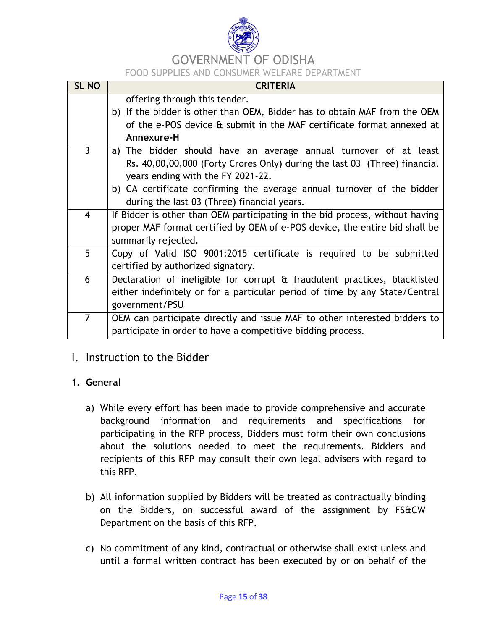

# GOVERNMENT OF ODISHA

FOOD SUPPLIES AND CONSUMER WELFARE DEPARTMENT

| <b>SL NO</b>            | <b>CRITERIA</b>                                                              |  |  |
|-------------------------|------------------------------------------------------------------------------|--|--|
|                         | offering through this tender.                                                |  |  |
|                         | b) If the bidder is other than OEM, Bidder has to obtain MAF from the OEM    |  |  |
|                         | of the e-POS device & submit in the MAF certificate format annexed at        |  |  |
|                         | Annexure-H                                                                   |  |  |
| $\overline{3}$          | a) The bidder should have an average annual turnover of at least             |  |  |
|                         | Rs. 40,00,00,000 (Forty Crores Only) during the last 03 (Three) financial    |  |  |
|                         | years ending with the FY 2021-22.                                            |  |  |
|                         | b) CA certificate confirming the average annual turnover of the bidder       |  |  |
|                         | during the last 03 (Three) financial years.                                  |  |  |
| $\overline{\mathbf{4}}$ | If Bidder is other than OEM participating in the bid process, without having |  |  |
|                         | proper MAF format certified by OEM of e-POS device, the entire bid shall be  |  |  |
|                         | summarily rejected.                                                          |  |  |
| 5                       | Copy of Valid ISO 9001:2015 certificate is required to be submitted          |  |  |
|                         | certified by authorized signatory.                                           |  |  |
| 6                       | Declaration of ineligible for corrupt & fraudulent practices, blacklisted    |  |  |
|                         | either indefinitely or for a particular period of time by any State/Central  |  |  |
|                         | government/PSU                                                               |  |  |
| $\overline{7}$          | OEM can participate directly and issue MAF to other interested bidders to    |  |  |
|                         | participate in order to have a competitive bidding process.                  |  |  |

### I. Instruction to the Bidder

#### 1. **General**

- a) While every effort has been made to provide comprehensive and accurate background information and requirements and specifications for participating in the RFP process, Bidders must form their own conclusions about the solutions needed to meet the requirements. Bidders and recipients of this RFP may consult their own legal advisers with regard to this RFP.
- b) All information supplied by Bidders will be treated as contractually binding on the Bidders, on successful award of the assignment by FS&CW Department on the basis of this RFP.
- c) No commitment of any kind, contractual or otherwise shall exist unless and until a formal written contract has been executed by or on behalf of the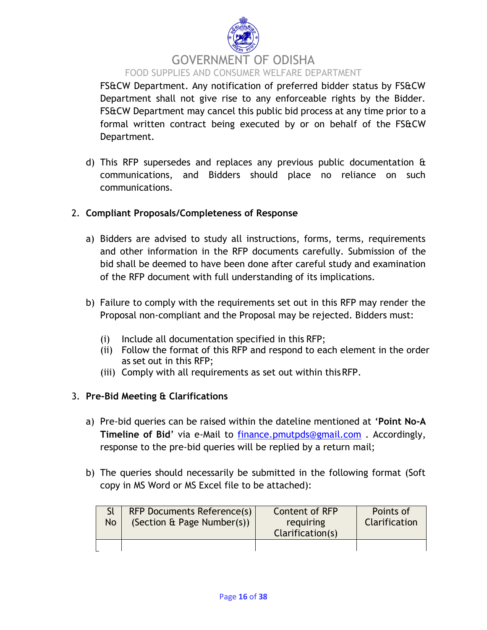

FS&CW Department. Any notification of preferred bidder status by FS&CW Department shall not give rise to any enforceable rights by the Bidder. FS&CW Department may cancel this public bid process at any time prior to a formal written contract being executed by or on behalf of the FS&CW Department.

d) This RFP supersedes and replaces any previous public documentation & communications, and Bidders should place no reliance on such communications.

#### 2. **Compliant Proposals/Completeness of Response**

- a) Bidders are advised to study all instructions, forms, terms, requirements and other information in the RFP documents carefully. Submission of the bid shall be deemed to have been done after careful study and examination of the RFP document with full understanding of its implications.
- b) Failure to comply with the requirements set out in this RFP may render the Proposal non-compliant and the Proposal may be rejected. Bidders must:
	- (i) Include all documentation specified in this RFP;
	- (ii) Follow the format of this RFP and respond to each element in the order as set out in this RFP;
	- (iii) Comply with all requirements as set out within thisRFP.

#### 3. **Pre‐Bid Meeting & Clarifications**

- a) Pre-bid queries can be raised within the dateline mentioned at "**Point No-A Timeline of Bid**" via e-Mail to [finance.pmutpds@gmail.com](mailto:finance.pmutpds@gmail.com) . Accordingly, response to the pre-bid queries will be replied by a return mail;
- b) The queries should necessarily be submitted in the following format (Soft copy in MS Word or MS Excel file to be attached):

| <b>No</b> | <b>RFP Documents Reference(s)</b><br>(Section & Page Number(s)) | Content of RFP<br>requiring<br>Clarification(s) | Points of<br>Clarification |
|-----------|-----------------------------------------------------------------|-------------------------------------------------|----------------------------|
|           |                                                                 |                                                 |                            |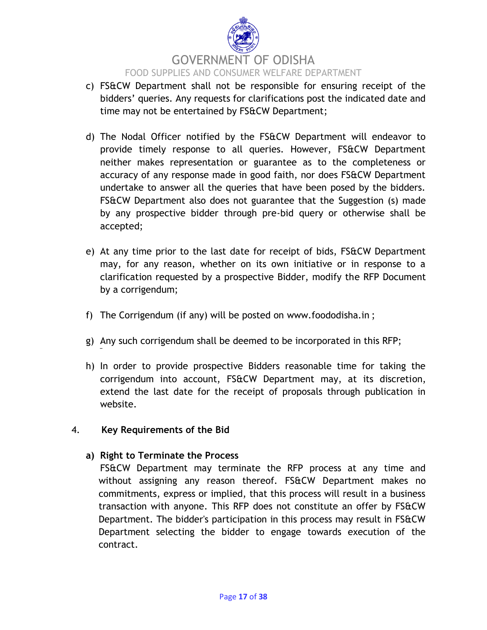

- c) FS&CW Department shall not be responsible for ensuring receipt of the bidders" queries. Any requests for clarifications post the indicated date and time may not be entertained by FS&CW Department;
- d) The Nodal Officer notified by the FS&CW Department will endeavor to provide timely response to all queries. However, FS&CW Department neither makes representation or guarantee as to the completeness or accuracy of any response made in good faith, nor does FS&CW Department undertake to answer all the queries that have been posed by the bidders. FS&CW Department also does not guarantee that the Suggestion (s) made by any prospective bidder through pre-bid query or otherwise shall be accepted;
- e) At any time prior to the last date for receipt of bids, FS&CW Department may, for any reason, whether on its own initiative or in response to a clarification requested by a prospective Bidder, modify the RFP Document by a corrigendum;
- f) The Corrigendum (if any) will be posted on [www.foododisha.in](http://www.foododisha.in/) ;
- g) Any such corrigendum shall be deemed to be incorporated in this RFP;
- h) In order to provide prospective Bidders reasonable time for taking the corrigendum into account, FS&CW Department may, at its discretion, extend the last date for the receipt of proposals through publication in website.

#### 4. **Key Requirements of the Bid**

#### **a) Right to Terminate the Process**

FS&CW Department may terminate the RFP process at any time and without assigning any reason thereof. FS&CW Department makes no commitments, express or implied, that this process will result in a business transaction with anyone. This RFP does not constitute an offer by FS&CW Department. The bidder's participation in this process may result in FS&CW Department selecting the bidder to engage towards execution of the contract.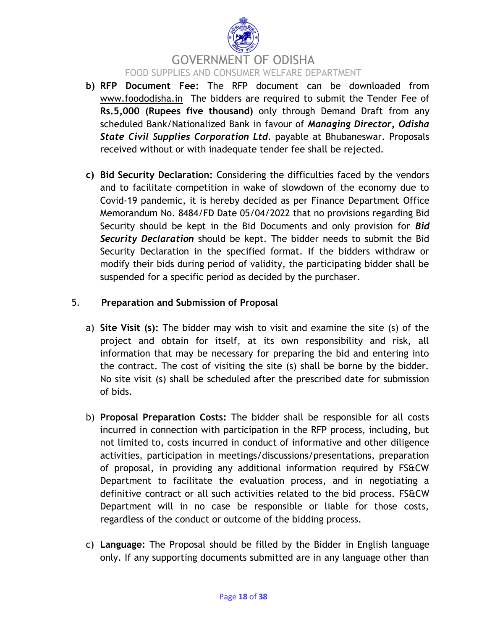

- **b) RFP Document Fee:** The RFP document can be downloaded from [www.foododisha.in](http://www.foododisha.in/) The bidders are required to submit the Tender Fee of **Rs.5,000 (Rupees five thousand)** only through Demand Draft from any scheduled Bank/Nationalized Bank in favour of *Managing Director, Odisha State Civil Supplies Corporation Ltd.* payable at Bhubaneswar. Proposals received without or with inadequate tender fee shall be rejected.
- **c) Bid Security Declaration:** Considering the difficulties faced by the vendors and to facilitate competition in wake of slowdown of the economy due to Covid-19 pandemic, it is hereby decided as per Finance Department Office Memorandum No. 8484/FD Date 05/04/2022 that no provisions regarding Bid Security should be kept in the Bid Documents and only provision for *Bid Security Declaration* should be kept. The bidder needs to submit the Bid Security Declaration in the specified format. If the bidders withdraw or modify their bids during period of validity, the participating bidder shall be suspended for a specific period as decided by the purchaser.

#### 5. **Preparation and Submission of Proposal**

- a) **Site Visit (s):** The bidder may wish to visit and examine the site (s) of the project and obtain for itself, at its own responsibility and risk, all information that may be necessary for preparing the bid and entering into the contract. The cost of visiting the site (s) shall be borne by the bidder. No site visit (s) shall be scheduled after the prescribed date for submission of bids.
- b) **Proposal Preparation Costs:** The bidder shall be responsible for all costs incurred in connection with participation in the RFP process, including, but not limited to, costs incurred in conduct of informative and other diligence activities, participation in meetings/discussions/presentations, preparation of proposal, in providing any additional information required by FS&CW Department to facilitate the evaluation process, and in negotiating a definitive contract or all such activities related to the bid process. FS&CW Department will in no case be responsible or liable for those costs, regardless of the conduct or outcome of the bidding process.
- c) **Language:** The Proposal should be filled by the Bidder in English language only. If any supporting documents submitted are in any language other than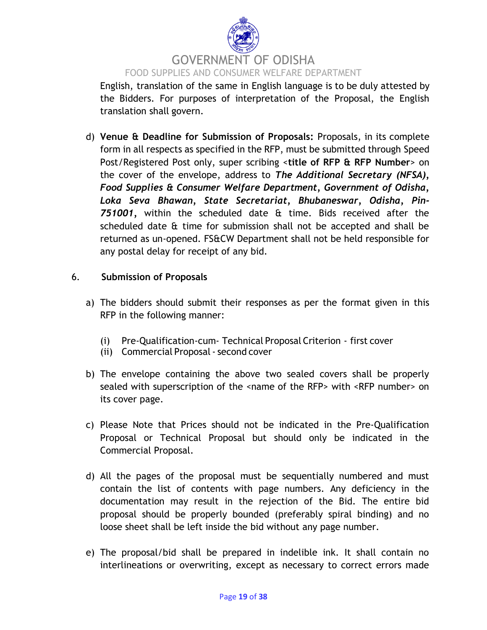

English, translation of the same in English language is to be duly attested by the Bidders. For purposes of interpretation of the Proposal, the English translation shall govern.

d) **Venue & Deadline for Submission of Proposals:** Proposals, in its complete form in all respects as specified in the RFP, must be submitted through Speed Post/Registered Post only, super scribing <**title of RFP & RFP Number**> on the cover of the envelope, address to *The Additional Secretary (NFSA), Food Supplies & Consumer Welfare Department, Government of Odisha, Loka Seva Bhawan, State Secretariat, Bhubaneswar, Odisha, Pin-751001,* within the scheduled date & time. Bids received after the scheduled date & time for submission shall not be accepted and shall be returned as un-opened. FS&CW Department shall not be held responsible for any postal delay for receipt of any bid.

#### 6. **Submission of Proposals**

- a) The bidders should submit their responses as per the format given in this RFP in the following manner:
	- (i) Pre‐Qualification-cum- Technical Proposal Criterion first cover
	- (ii) Commercial Proposal- second cover
- b) The envelope containing the above two sealed covers shall be properly sealed with superscription of the <name of the RFP> with <RFP number> on its cover page.
- c) Please Note that Prices should not be indicated in the Pre‐Qualification Proposal or Technical Proposal but should only be indicated in the Commercial Proposal.
- d) All the pages of the proposal must be sequentially numbered and must contain the list of contents with page numbers. Any deficiency in the documentation may result in the rejection of the Bid. The entire bid proposal should be properly bounded (preferably spiral binding) and no loose sheet shall be left inside the bid without any page number.
- e) The proposal/bid shall be prepared in indelible ink. It shall contain no interlineations or overwriting, except as necessary to correct errors made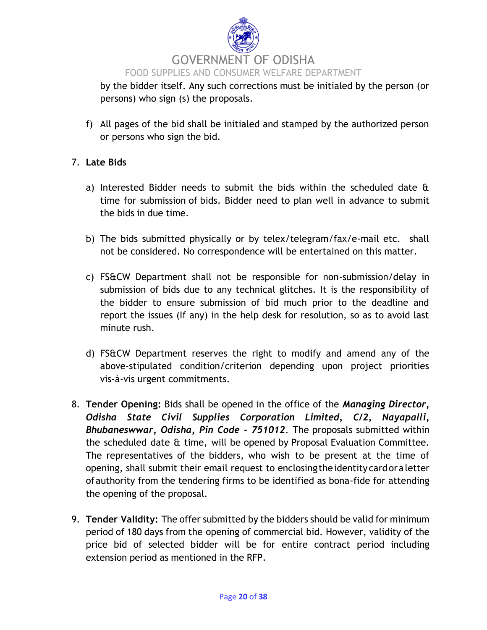

by the bidder itself. Any such corrections must be initialed by the person (or persons) who sign (s) the proposals.

f) All pages of the bid shall be initialed and stamped by the authorized person or persons who sign the bid.

#### 7. **Late Bids**

- a) Interested Bidder needs to submit the bids within the scheduled date & time for submission of bids. Bidder need to plan well in advance to submit the bids in due time.
- b) The bids submitted physically or by telex/telegram/fax/e‐mail etc. shall not be considered. No correspondence will be entertained on this matter.
- c) FS&CW Department shall not be responsible for non-submission/delay in submission of bids due to any technical glitches. It is the responsibility of the bidder to ensure submission of bid much prior to the deadline and report the issues (If any) in the help desk for resolution, so as to avoid last minute rush.
- d) FS&CW Department reserves the right to modify and amend any of the above‐stipulated condition/criterion depending upon project priorities vis‐à‐vis urgent commitments.
- 8. **Tender Opening:** Bids shall be opened in the office of the *Managing Director, Odisha State Civil Supplies Corporation Limited, C/2, Nayapalli, Bhubaneswwar, Odisha, Pin Code - 751012*. The proposals submitted within the scheduled date & time, will be opened by Proposal Evaluation Committee. The representatives of the bidders, who wish to be present at the time of opening, shall submit their email request to enclosing the identity cardoraletter ofauthority from the tendering firms to be identified as bona-fide for attending the opening of the proposal.
- 9. **Tender Validity:** The offer submitted by the bidders should be valid for minimum period of 180 days from the opening of commercial bid. However, validity of the price bid of selected bidder will be for entire contract period including extension period as mentioned in the RFP.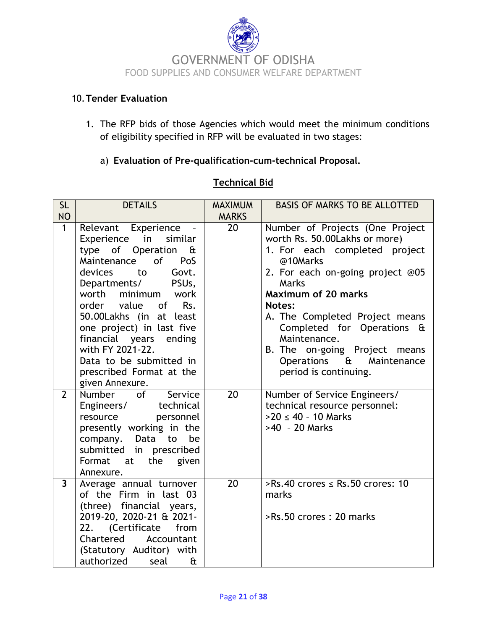

#### 10.**Tender Evaluation**

1. The RFP bids of those Agencies which would meet the minimum conditions of eligibility specified in RFP will be evaluated in two stages:

#### a) **Evaluation of Pre-qualification-cum-technical Proposal.**

#### **Technical Bid**

| <b>SL</b>               | <b>DETAILS</b>                                                                                                                                                                                                                                                                                                                                                                                                                        | <b>MAXIMUM</b>  | <b>BASIS OF MARKS TO BE ALLOTTED</b>                                                                                                                                                                                                                                                                                                                                            |
|-------------------------|---------------------------------------------------------------------------------------------------------------------------------------------------------------------------------------------------------------------------------------------------------------------------------------------------------------------------------------------------------------------------------------------------------------------------------------|-----------------|---------------------------------------------------------------------------------------------------------------------------------------------------------------------------------------------------------------------------------------------------------------------------------------------------------------------------------------------------------------------------------|
| <b>NO</b>               |                                                                                                                                                                                                                                                                                                                                                                                                                                       | <b>MARKS</b>    |                                                                                                                                                                                                                                                                                                                                                                                 |
| $\mathbf{1}$            | Relevant Experience<br>in<br>similar<br>Experience<br>type of Operation<br>£<br>Maintenance<br>of the origin of the original control.<br>PoS<br><b>devices</b><br>to<br>Govt.<br>Departments/ PSUs,<br>worth minimum<br>work<br>order value of<br>Rs.<br>50.00Lakhs (in at least<br>one project) in last five<br>financial years ending<br>with FY 2021-22.<br>Data to be submitted in<br>prescribed Format at the<br>given Annexure. | 20              | Number of Projects (One Project<br>worth Rs. 50.00Lakhs or more)<br>1. For each completed project<br>@10Marks<br>2. For each on-going project @05<br>Marks<br><b>Maximum of 20 marks</b><br><b>Notes:</b><br>A. The Completed Project means<br>Completed for Operations &<br>Maintenance.<br>B. The on-going Project means<br>Operations & Maintenance<br>period is continuing. |
| $\overline{2}$          | Number of<br>Service<br>Engineers/<br>technical<br>personnel<br>resource<br>presently working in the<br>company. Data<br>be<br>to<br>submitted in prescribed<br>Format<br>the given<br>at<br>Annexure.                                                                                                                                                                                                                                | $\overline{20}$ | Number of Service Engineers/<br>technical resource personnel:<br>$>20 \le 40 - 10$ Marks<br>>40 - 20 Marks                                                                                                                                                                                                                                                                      |
| $\overline{\mathbf{3}}$ | Average annual turnover<br>of the Firm in last 03<br>(three) financial years,<br>2019-20, 2020-21 & 2021-<br>22. (Certificate<br>from<br>Chartered<br>Accountant<br>(Statutory Auditor) with<br>authorized<br>seal<br>£                                                                                                                                                                                                               | 20              | >Rs.40 crores $\le$ Rs.50 crores: 10<br>marks<br>>Rs.50 crores: 20 marks                                                                                                                                                                                                                                                                                                        |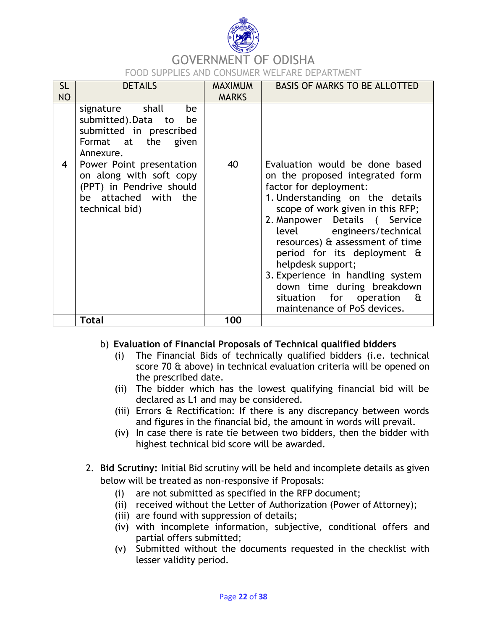

# GOVERNMENT OF ODISHA

FOOD SUPPLIES AND CONSUMER WELFARE DEPARTMENT

| <b>SL</b><br><b>NO</b> | <b>DETAILS</b>                                                                                                            | <b>MAXIMUM</b><br><b>MARKS</b> | <b>BASIS OF MARKS TO BE ALLOTTED</b>                                                                                                                                                                                                                                                                                                                                                                                                                       |
|------------------------|---------------------------------------------------------------------------------------------------------------------------|--------------------------------|------------------------------------------------------------------------------------------------------------------------------------------------------------------------------------------------------------------------------------------------------------------------------------------------------------------------------------------------------------------------------------------------------------------------------------------------------------|
|                        | signature shall<br>be<br>submitted).Data to<br>be<br>submitted in prescribed<br>Format at the given<br>Annexure.          |                                |                                                                                                                                                                                                                                                                                                                                                                                                                                                            |
| 4                      | Power Point presentation<br>on along with soft copy<br>(PPT) in Pendrive should<br>be attached with the<br>technical bid) | 40                             | Evaluation would be done based<br>on the proposed integrated form<br>factor for deployment:<br>1. Understanding on the details<br>scope of work given in this RFP;<br>2. Manpower Details ( Service<br>level engineers/technical<br>resources) & assessment of time<br>period for its deployment &<br>helpdesk support;<br>3. Experience in handling system<br>down time during breakdown<br>situation for operation<br>- &<br>maintenance of PoS devices. |
|                        | Total                                                                                                                     | 100                            |                                                                                                                                                                                                                                                                                                                                                                                                                                                            |

#### b) **Evaluation of Financial Proposals of Technical qualified bidders**

- (i) The Financial Bids of technically qualified bidders (i.e. technical score 70 & above) in technical evaluation criteria will be opened on the prescribed date.
- (ii) The bidder which has the lowest qualifying financial bid will be declared as L1 and may be considered.
- (iii) Errors & Rectification: If there is any discrepancy between words and figures in the financial bid, the amount in words will prevail.
- (iv) In case there is rate tie between two bidders, then the bidder with highest technical bid score will be awarded.
- 2. **Bid Scrutiny:** Initial Bid scrutiny will be held and incomplete details as given below will be treated as non-responsive if Proposals:
	- (i) are not submitted as specified in the RFP document;
	- (ii) received without the Letter of Authorization (Power of Attorney);
	- (iii) are found with suppression of details;
	- (iv) with incomplete information, subjective, conditional offers and partial offers submitted;
	- (v) Submitted without the documents requested in the checklist with lesser validity period.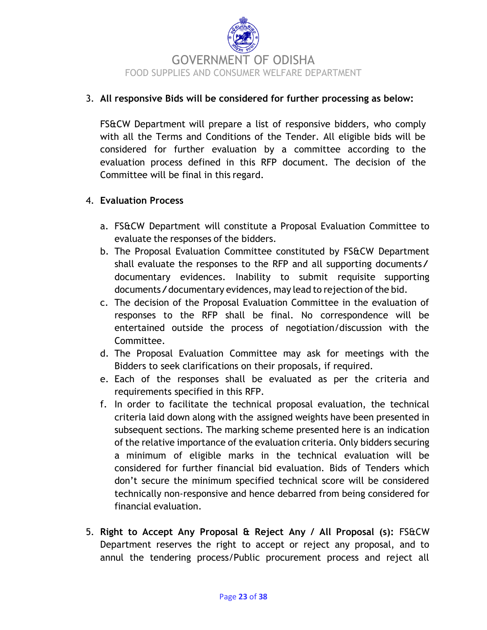

#### 3. **All responsive Bids will be considered for further processing as below:**

FS&CW Department will prepare a list of responsive bidders, who comply with all the Terms and Conditions of the Tender. All eligible bids will be considered for further evaluation by a committee according to the evaluation process defined in this RFP document. The decision of the Committee will be final in this regard.

#### 4. **Evaluation Process**

- a. FS&CW Department will constitute a Proposal Evaluation Committee to evaluate the responses of the bidders.
- b. The Proposal Evaluation Committee constituted by FS&CW Department shall evaluate the responses to the RFP and all supporting documents/ documentary evidences. Inability to submit requisite supporting documents/documentary evidences, may lead to rejection of the bid.
- c. The decision of the Proposal Evaluation Committee in the evaluation of responses to the RFP shall be final. No correspondence will be entertained outside the process of negotiation/discussion with the Committee.
- d. The Proposal Evaluation Committee may ask for meetings with the Bidders to seek clarifications on their proposals, if required.
- e. Each of the responses shall be evaluated as per the criteria and requirements specified in this RFP.
- f. In order to facilitate the technical proposal evaluation, the technical criteria laid down along with the assigned weights have been presented in subsequent sections. The marking scheme presented here is an indication of the relative importance of the evaluation criteria. Only bidders securing a minimum of eligible marks in the technical evaluation will be considered for further financial bid evaluation. Bids of Tenders which don"t secure the minimum specified technical score will be considered technically non‐responsive and hence debarred from being considered for financial evaluation.
- 5. **Right to Accept Any Proposal & Reject Any / All Proposal (s):** FS&CW Department reserves the right to accept or reject any proposal, and to annul the tendering process/Public procurement process and reject all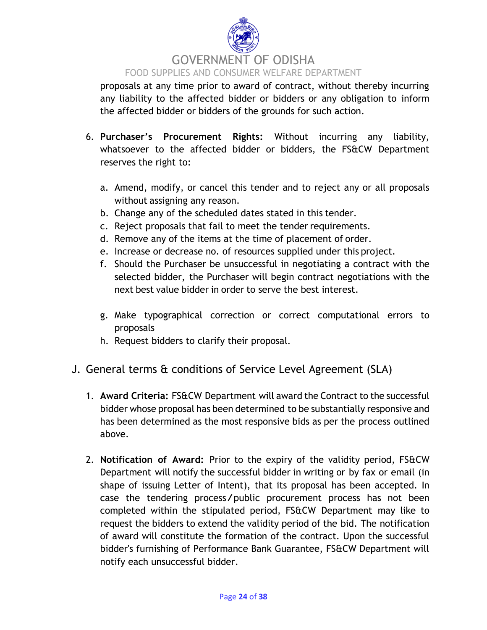

proposals at any time prior to award of contract, without thereby incurring any liability to the affected bidder or bidders or any obligation to inform the affected bidder or bidders of the grounds for such action.

- 6. **Purchaser's Procurement Rights:** Without incurring any liability, whatsoever to the affected bidder or bidders, the FS&CW Department reserves the right to:
	- a. Amend, modify, or cancel this tender and to reject any or all proposals without assigning any reason.
	- b. Change any of the scheduled dates stated in this tender.
	- c. Reject proposals that fail to meet the tender requirements.
	- d. Remove any of the items at the time of placement of order.
	- e. Increase or decrease no. of resources supplied under this project.
	- f. Should the Purchaser be unsuccessful in negotiating a contract with the selected bidder, the Purchaser will begin contract negotiations with the next best value bidder in order to serve the best interest.
	- g. Make typographical correction or correct computational errors to proposals
	- h. Request bidders to clarify their proposal.
- J. General terms & conditions of Service Level Agreement (SLA)
	- 1. **Award Criteria:** FS&CW Department will award the Contract to the successful bidder whose proposal has been determined to be substantially responsive and has been determined as the most responsive bids as per the process outlined above.
	- 2. **Notification of Award:** Prior to the expiry of the validity period, FS&CW Department will notify the successful bidder in writing or by fax or email (in shape of issuing Letter of Intent), that its proposal has been accepted. In case the tendering process/public procurement process has not been completed within the stipulated period, FS&CW Department may like to request the bidders to extend the validity period of the bid. The notification of award will constitute the formation of the contract. Upon the successful bidder's furnishing of Performance Bank Guarantee, FS&CW Department will notify each unsuccessful bidder.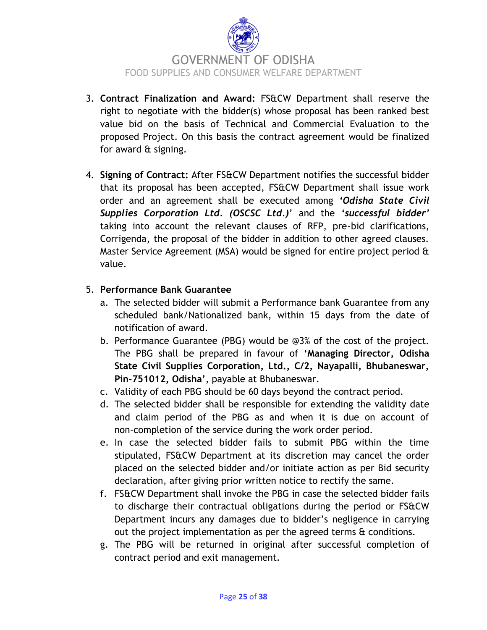

- 3. **Contract Finalization and Award:** FS&CW Department shall reserve the right to negotiate with the bidder(s) whose proposal has been ranked best value bid on the basis of Technical and Commercial Evaluation to the proposed Project. On this basis the contract agreement would be finalized for award & signing.
- 4. **Signing of Contract:** After FS&CW Department notifies the successful bidder that its proposal has been accepted, FS&CW Department shall issue work order and an agreement shall be executed among *'Odisha State Civil Supplies Corporation Ltd. (OSCSC Ltd.)*" and the *'successful bidder'* taking into account the relevant clauses of RFP, pre-bid clarifications, Corrigenda, the proposal of the bidder in addition to other agreed clauses. Master Service Agreement (MSA) would be signed for entire project period & value.

#### 5. **Performance Bank Guarantee**

- a. The selected bidder will submit a Performance bank Guarantee from any scheduled bank/Nationalized bank, within 15 days from the date of notification of award.
- b. Performance Guarantee (PBG) would be @3% of the cost of the project. The PBG shall be prepared in favour of **'Managing Director, Odisha State Civil Supplies Corporation, Ltd., C/2, Nayapalli, Bhubaneswar, Pin-751012, Odisha'**, payable at Bhubaneswar.
- c. Validity of each PBG should be 60 days beyond the contract period.
- d. The selected bidder shall be responsible for extending the validity date and claim period of the PBG as and when it is due on account of non‐completion of the service during the work order period.
- e. In case the selected bidder fails to submit PBG within the time stipulated, FS&CW Department at its discretion may cancel the order placed on the selected bidder and/or initiate action as per Bid security declaration, after giving prior written notice to rectify the same.
- f. FS&CW Department shall invoke the PBG in case the selected bidder fails to discharge their contractual obligations during the period or FS&CW Department incurs any damages due to bidder"s negligence in carrying out the project implementation as per the agreed terms & conditions.
- g. The PBG will be returned in original after successful completion of contract period and exit management.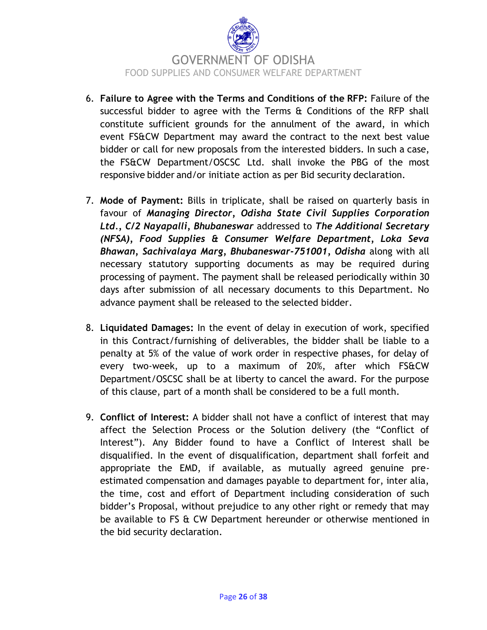

- 6. **Failure to Agree with the Terms and Conditions of the RFP:** Failure of the successful bidder to agree with the Terms & Conditions of the RFP shall constitute sufficient grounds for the annulment of the award, in which event FS&CW Department may award the contract to the next best value bidder or call for new proposals from the interested bidders. In such a case, the FS&CW Department/OSCSC Ltd. shall invoke the PBG of the most responsive bidder and/or initiate action as per Bid security declaration.
- 7. **Mode of Payment:** Bills in triplicate, shall be raised on quarterly basis in favour of *Managing Director, Odisha State Civil Supplies Corporation Ltd., C/2 Nayapalli, Bhubaneswar* addressed to *The Additional Secretary (NFSA), Food Supplies & Consumer Welfare Department, Loka Seva Bhawan, Sachivalaya Marg, Bhubaneswar-751001, Odisha* along with all necessary statutory supporting documents as may be required during processing of payment. The payment shall be released periodically within 30 days after submission of all necessary documents to this Department. No advance payment shall be released to the selected bidder.
- 8. **Liquidated Damages:** In the event of delay in execution of work, specified in this Contract/furnishing of deliverables, the bidder shall be liable to a penalty at 5% of the value of work order in respective phases, for delay of every two-week, up to a maximum of 20%, after which FS&CW Department/OSCSC shall be at liberty to cancel the award. For the purpose of this clause, part of a month shall be considered to be a full month.
- 9. **Conflict of Interest:** A bidder shall not have a conflict of interest that may affect the Selection Process or the Solution delivery (the "Conflict of Interest"). Any Bidder found to have a Conflict of Interest shall be disqualified. In the event of disqualification, department shall forfeit and appropriate the EMD, if available, as mutually agreed genuine preestimated compensation and damages payable to department for, inter alia, the time, cost and effort of Department including consideration of such bidder"s Proposal, without prejudice to any other right or remedy that may be available to FS & CW Department hereunder or otherwise mentioned in the bid security declaration.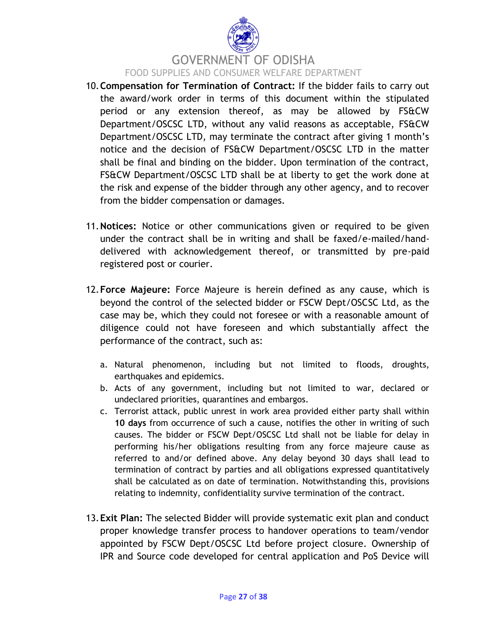

# GOVERNMENT OF ODISHA FOOD SUPPLIES AND CONSUMER WELFARE DEPARTMENT

- 10.**Compensation for Termination of Contract:** If the bidder fails to carry out the award/work order in terms of this document within the stipulated period or any extension thereof, as may be allowed by FS&CW Department/OSCSC LTD, without any valid reasons as acceptable, FS&CW Department/OSCSC LTD, may terminate the contract after giving 1 month"s notice and the decision of FS&CW Department/OSCSC LTD in the matter shall be final and binding on the bidder. Upon termination of the contract, FS&CW Department/OSCSC LTD shall be at liberty to get the work done at the risk and expense of the bidder through any other agency, and to recover from the bidder compensation or damages.
- 11.**Notices:** Notice or other communications given or required to be given under the contract shall be in writing and shall be faxed/e-mailed/handdelivered with acknowledgement thereof, or transmitted by pre-paid registered post or courier.
- 12.**Force Majeure:** Force Majeure is herein defined as any cause, which is beyond the control of the selected bidder or FSCW Dept/OSCSC Ltd, as the case may be, which they could not foresee or with a reasonable amount of diligence could not have foreseen and which substantially affect the performance of the contract, such as:
	- a. Natural phenomenon, including but not limited to floods, droughts, earthquakes and epidemics.
	- b. Acts of any government, including but not limited to war, declared or undeclared priorities, quarantines and embargos.
	- c. Terrorist attack, public unrest in work area provided either party shall within **10 days** from occurrence of such a cause, notifies the other in writing of such causes. The bidder or FSCW Dept/OSCSC Ltd shall not be liable for delay in performing his/her obligations resulting from any force majeure cause as referred to and/or defined above. Any delay beyond 30 days shall lead to termination of contract by parties and all obligations expressed quantitatively shall be calculated as on date of termination. Notwithstanding this, provisions relating to indemnity, confidentiality survive termination of the contract.
- 13.**Exit Plan:** The selected Bidder will provide systematic exit plan and conduct proper knowledge transfer process to handover operations to team/vendor appointed by FSCW Dept/OSCSC Ltd before project closure. Ownership of IPR and Source code developed for central application and PoS Device will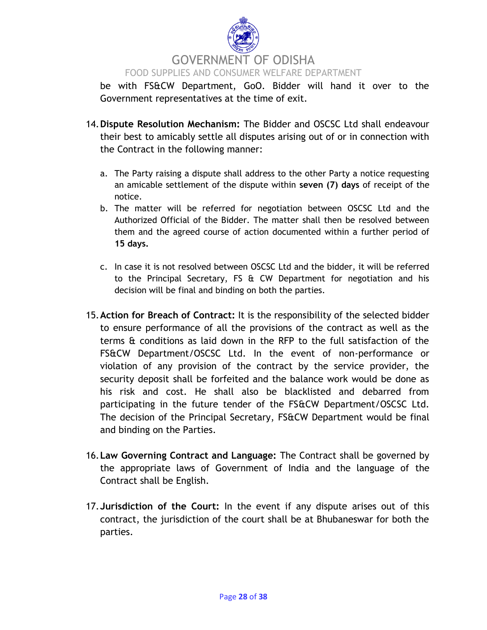

#### FOOD SUPPLIES AND CONSUMER WELFARE DEPARTMENT

be with FS&CW Department, GoO. Bidder will hand it over to the Government representatives at the time of exit.

- 14.**Dispute Resolution Mechanism:** The Bidder and OSCSC Ltd shall endeavour their best to amicably settle all disputes arising out of or in connection with the Contract in the following manner:
	- a. The Party raising a dispute shall address to the other Party a notice requesting an amicable settlement of the dispute within **seven (7) days** of receipt of the notice.
	- b. The matter will be referred for negotiation between OSCSC Ltd and the Authorized Official of the Bidder. The matter shall then be resolved between them and the agreed course of action documented within a further period of **15 days.**
	- c. In case it is not resolved between OSCSC Ltd and the bidder, it will be referred to the Principal Secretary, FS & CW Department for negotiation and his decision will be final and binding on both the parties.
- 15.**Action for Breach of Contract:** It is the responsibility of the selected bidder to ensure performance of all the provisions of the contract as well as the terms & conditions as laid down in the RFP to the full satisfaction of the FS&CW Department/OSCSC Ltd. In the event of non-performance or violation of any provision of the contract by the service provider, the security deposit shall be forfeited and the balance work would be done as his risk and cost. He shall also be blacklisted and debarred from participating in the future tender of the FS&CW Department/OSCSC Ltd. The decision of the Principal Secretary, FS&CW Department would be final and binding on the Parties.
- 16.**Law Governing Contract and Language:** The Contract shall be governed by the appropriate laws of Government of India and the language of the Contract shall be English.
- 17.**Jurisdiction of the Court:** In the event if any dispute arises out of this contract, the jurisdiction of the court shall be at Bhubaneswar for both the parties.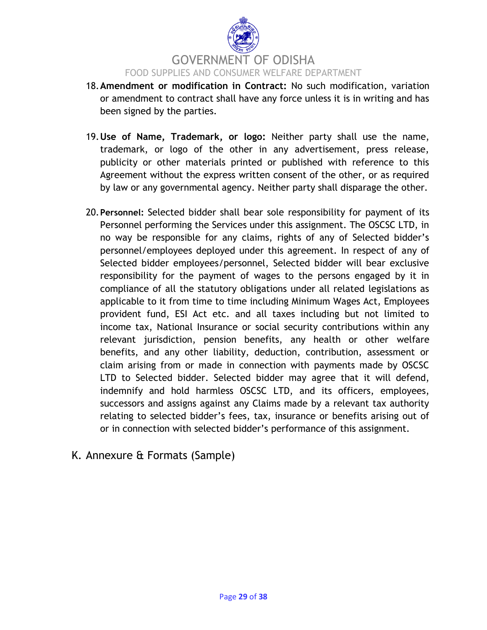

- 18.**Amendment or modification in Contract:** No such modification, variation or amendment to contract shall have any force unless it is in writing and has been signed by the parties.
- 19.**Use of Name, Trademark, or logo:** Neither party shall use the name, trademark, or logo of the other in any advertisement, press release, publicity or other materials printed or published with reference to this Agreement without the express written consent of the other, or as required by law or any governmental agency. Neither party shall disparage the other.
- 20.**Personnel:** Selected bidder shall bear sole responsibility for payment of its Personnel performing the Services under this assignment. The OSCSC LTD, in no way be responsible for any claims, rights of any of Selected bidder"s personnel/employees deployed under this agreement. In respect of any of Selected bidder employees/personnel, Selected bidder will bear exclusive responsibility for the payment of wages to the persons engaged by it in compliance of all the statutory obligations under all related legislations as applicable to it from time to time including Minimum Wages Act, Employees provident fund, ESI Act etc. and all taxes including but not limited to income tax, National Insurance or social security contributions within any relevant jurisdiction, pension benefits, any health or other welfare benefits, and any other liability, deduction, contribution, assessment or claim arising from or made in connection with payments made by OSCSC LTD to Selected bidder. Selected bidder may agree that it will defend, indemnify and hold harmless OSCSC LTD, and its officers, employees, successors and assigns against any Claims made by a relevant tax authority relating to selected bidder"s fees, tax, insurance or benefits arising out of or in connection with selected bidder"s performance of this assignment.
- K. Annexure & Formats (Sample)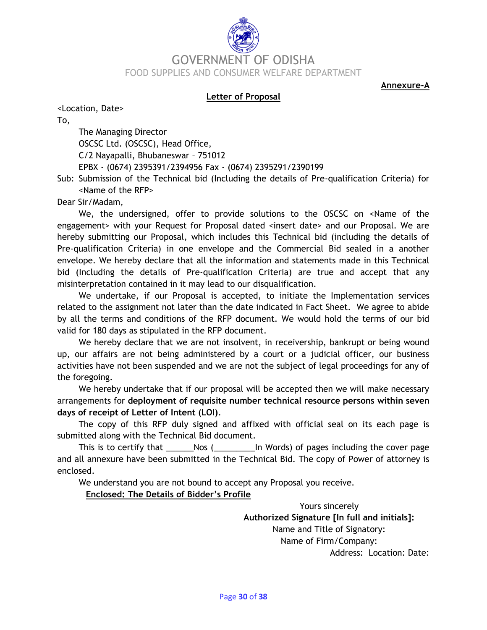# GOVERNMENT OF ODISHA FOOD SUPPLIES AND CONSUMER WELFARE DEPARTMENT

**Annexure-A**

#### **Letter of Proposal**

<Location, Date>

To,

The Managing Director OSCSC Ltd. (OSCSC), Head Office, C/2 Nayapalli, Bhubaneswar – 751012 EPBX - (0674) 2395391/2394956 Fax - (0674) 2395291/2390199

Sub: Submission of the Technical bid (Including the details of Pre-qualification Criteria) for <Name of the RFP>

Dear Sir/Madam,

We, the undersigned, offer to provide solutions to the OSCSC on <Name of the engagement> with your Request for Proposal dated <insert date> and our Proposal. We are hereby submitting our Proposal, which includes this Technical bid (including the details of Pre-qualification Criteria) in one envelope and the Commercial Bid sealed in a another envelope. We hereby declare that all the information and statements made in this Technical bid (Including the details of Pre-qualification Criteria) are true and accept that any misinterpretation contained in it may lead to our disqualification.

We undertake, if our Proposal is accepted, to initiate the Implementation services related to the assignment not later than the date indicated in Fact Sheet. We agree to abide by all the terms and conditions of the RFP document. We would hold the terms of our bid valid for 180 days as stipulated in the RFP document.

We hereby declare that we are not insolvent, in receivership, bankrupt or being wound up, our affairs are not being administered by a court or a judicial officer, our business activities have not been suspended and we are not the subject of legal proceedings for any of the foregoing.

We hereby undertake that if our proposal will be accepted then we will make necessary arrangements for **deployment of requisite number technical resource persons within seven days of receipt of Letter of Intent (LOI)**.

The copy of this RFP duly signed and affixed with official seal on its each page is submitted along with the Technical Bid document.

This is to certify that This is to certify that  $\Box$  Nos ( $\Box$  In Words) of pages including the cover page and all annexure have been submitted in the Technical Bid. The copy of Power of attorney is enclosed.

We understand you are not bound to accept any Proposal you receive.

**Enclosed: The Details of Bidder's Profile** 

Yours sincerely **Authorized Signature [In full and initials]:** Name and Title of Signatory: Name of Firm/Company: Address: Location: Date: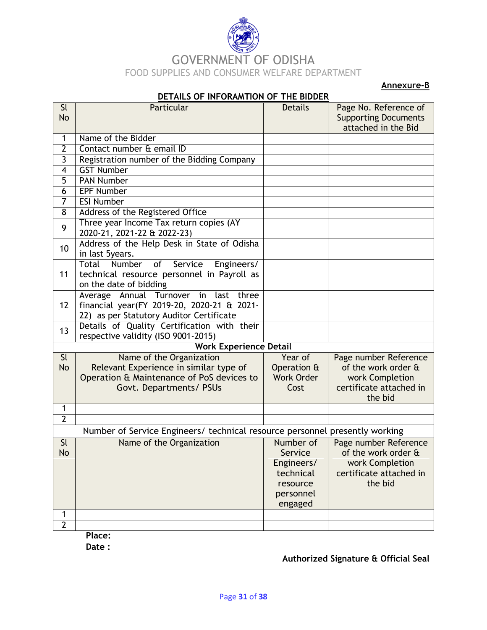

**Annexure-B**

|                          | <u>DETAILS OF INFORAMITON OF THE BIDDER</u>                                        |                   |                             |  |  |  |  |
|--------------------------|------------------------------------------------------------------------------------|-------------------|-----------------------------|--|--|--|--|
| <b>Sl</b>                | Particular                                                                         | <b>Details</b>    | Page No. Reference of       |  |  |  |  |
| <b>No</b>                |                                                                                    |                   | <b>Supporting Documents</b> |  |  |  |  |
| $\mathbf{1}$             | Name of the Bidder                                                                 |                   | attached in the Bid         |  |  |  |  |
| $\overline{2}$           | Contact number & email ID                                                          |                   |                             |  |  |  |  |
| $\overline{3}$           | Registration number of the Bidding Company                                         |                   |                             |  |  |  |  |
| 4                        | <b>GST Number</b>                                                                  |                   |                             |  |  |  |  |
| 5                        | <b>PAN Number</b>                                                                  |                   |                             |  |  |  |  |
| 6                        | <b>EPF Number</b>                                                                  |                   |                             |  |  |  |  |
| $\overline{7}$           | <b>ESI Number</b>                                                                  |                   |                             |  |  |  |  |
| 8                        | Address of the Registered Office                                                   |                   |                             |  |  |  |  |
|                          | Three year Income Tax return copies (AY                                            |                   |                             |  |  |  |  |
| 9                        | 2020-21, 2021-22 & 2022-23)                                                        |                   |                             |  |  |  |  |
| 10                       | Address of the Help Desk in State of Odisha<br>in last 5years.                     |                   |                             |  |  |  |  |
|                          | Total<br>Number<br>Service<br>Engineers/<br>of                                     |                   |                             |  |  |  |  |
| 11                       | technical resource personnel in Payroll as                                         |                   |                             |  |  |  |  |
|                          | on the date of bidding                                                             |                   |                             |  |  |  |  |
|                          | Average Annual Turnover in<br>last three                                           |                   |                             |  |  |  |  |
| 12                       | financial year(FY 2019-20, 2020-21 & 2021-                                         |                   |                             |  |  |  |  |
|                          | 22) as per Statutory Auditor Certificate                                           |                   |                             |  |  |  |  |
| 13                       | Details of Quality Certification with their<br>respective validity (ISO 9001-2015) |                   |                             |  |  |  |  |
|                          | <b>Work Experience Detail</b>                                                      |                   |                             |  |  |  |  |
| $\overline{\mathsf{SL}}$ | Name of the Organization                                                           | Year of           | Page number Reference       |  |  |  |  |
| No                       | Relevant Experience in similar type of                                             | Operation &       | of the work order &         |  |  |  |  |
|                          | Operation & Maintenance of PoS devices to                                          | <b>Work Order</b> | work Completion             |  |  |  |  |
|                          | Govt. Departments/ PSUs                                                            | Cost              | certificate attached in     |  |  |  |  |
|                          |                                                                                    |                   | the bid                     |  |  |  |  |
| 1                        |                                                                                    |                   |                             |  |  |  |  |
| $\overline{2}$           |                                                                                    |                   |                             |  |  |  |  |
|                          | Number of Service Engineers/ technical resource personnel presently working        |                   |                             |  |  |  |  |
| <b>Sl</b>                | Name of the Organization                                                           | Number of         | Page number Reference       |  |  |  |  |
| No                       |                                                                                    | Service           | of the work order &         |  |  |  |  |
|                          |                                                                                    | Engineers/        | work Completion             |  |  |  |  |
|                          |                                                                                    | technical         | certificate attached in     |  |  |  |  |
|                          |                                                                                    | resource          | the bid                     |  |  |  |  |
|                          |                                                                                    | personnel         |                             |  |  |  |  |
|                          |                                                                                    | engaged           |                             |  |  |  |  |
| 1<br>$\overline{2}$      |                                                                                    |                   |                             |  |  |  |  |
|                          |                                                                                    |                   |                             |  |  |  |  |

**DETAILS OF INFORAMTION OF THE BIDDER**

**Place:**

**Date :** 

**Authorized Signature & Official Seal**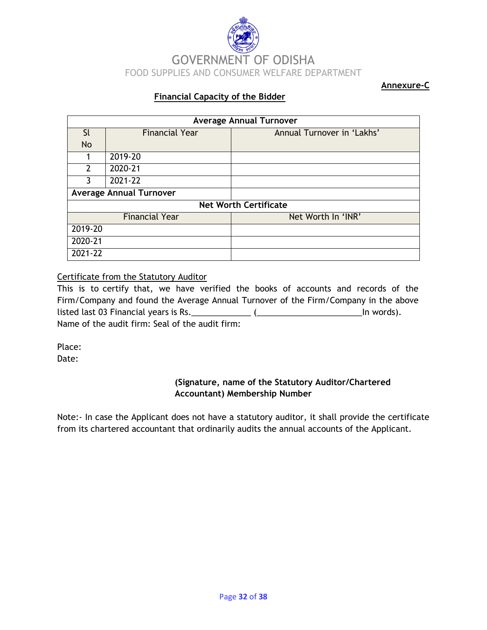

**Annexure-C**

#### **Financial Capacity of the Bidder**

| <b>Average Annual Turnover</b> |                                |                            |  |  |  |  |
|--------------------------------|--------------------------------|----------------------------|--|--|--|--|
| Sl                             | <b>Financial Year</b>          | Annual Turnover in 'Lakhs' |  |  |  |  |
| <b>No</b>                      |                                |                            |  |  |  |  |
|                                | 2019-20                        |                            |  |  |  |  |
| $\mathcal{P}$                  | 2020-21                        |                            |  |  |  |  |
| 3                              | 2021-22                        |                            |  |  |  |  |
|                                | <b>Average Annual Turnover</b> |                            |  |  |  |  |
| <b>Net Worth Certificate</b>   |                                |                            |  |  |  |  |
|                                | <b>Financial Year</b>          | Net Worth In 'INR'         |  |  |  |  |
| 2019-20                        |                                |                            |  |  |  |  |
| 2020-21                        |                                |                            |  |  |  |  |
| 2021-22                        |                                |                            |  |  |  |  |

#### Certificate from the Statutory Auditor

This is to certify that, we have verified the books of accounts and records of the Firm/Company and found the Average Annual Turnover of the Firm/Company in the above listed last 03 Financial years is Rs.\_\_\_\_\_\_\_\_\_\_\_\_\_ (\_\_\_\_\_\_\_\_\_\_\_\_\_\_\_\_\_\_\_\_\_\_\_In words). Name of the audit firm: Seal of the audit firm:

Place: Date:

#### **(Signature, name of the Statutory Auditor/Chartered Accountant) Membership Number**

Note:- In case the Applicant does not have a statutory auditor, it shall provide the certificate from its chartered accountant that ordinarily audits the annual accounts of the Applicant.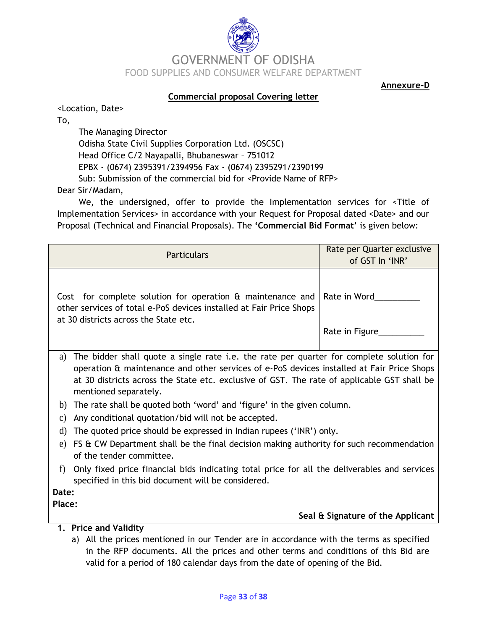

**Annexure-D**

#### **Commercial proposal Covering letter**

<Location, Date>

To,

The Managing Director Odisha State Civil Supplies Corporation Ltd. (OSCSC) Head Office C/2 Nayapalli, Bhubaneswar – 751012 EPBX - (0674) 2395391/2394956 Fax - (0674) 2395291/2390199 Sub: Submission of the commercial bid for <Provide Name of RFP> Dear Sir/Madam,

We, the undersigned, offer to provide the Implementation services for <Title of Implementation Services> in accordance with your Request for Proposal dated <Date> and our Proposal (Technical and Financial Proposals). The **'Commercial Bid Format'** is given below:

| <b>Particulars</b>                                                                                                                                                                          | Rate per Quarter exclusive<br>of GST In 'INR' |  |  |
|---------------------------------------------------------------------------------------------------------------------------------------------------------------------------------------------|-----------------------------------------------|--|--|
| Cost for complete solution for operation & maintenance and<br>other services of total e-PoS devices installed at Fair Price Shops<br>at 30 districts across the State etc.                  | Rate in Word<br>Rate in Figure                |  |  |
| The bidder shall quote a single rate i.e. the rate per quarter for complete solution for<br>a)<br>operation & maintenance and other services of e-PoS devices installed at Fair Price Shops |                                               |  |  |

- at 30 districts across the State etc. exclusive of GST. The rate of applicable GST shall be mentioned separately.
- b) The rate shall be quoted both "word" and "figure" in the given column.
- c) Any conditional quotation/bid will not be accepted.
- d) The quoted price should be expressed in Indian rupees ("INR") only.
- e) FS & CW Department shall be the final decision making authority for such recommendation of the tender committee.
- f) Only fixed price financial bids indicating total price for all the deliverables and services specified in this bid document will be considered.

**Date:**

**Place:**

#### **Seal & Signature of the Applicant**

- **1. Price and Validity** 
	- a) All the prices mentioned in our Tender are in accordance with the terms as specified in the RFP documents. All the prices and other terms and conditions of this Bid are valid for a period of 180 calendar days from the date of opening of the Bid.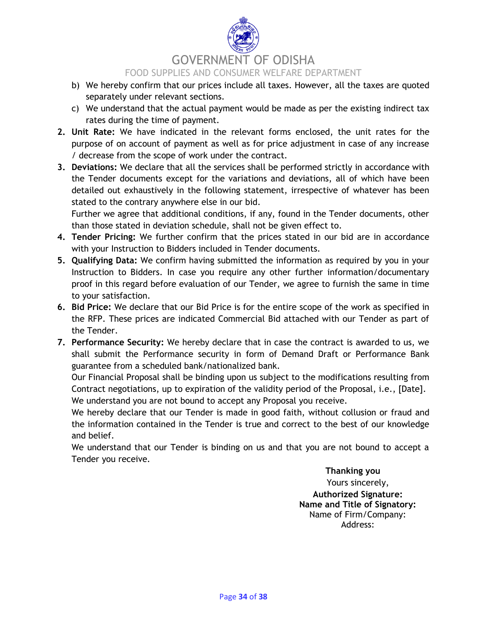# GOVERNMENT OF ODISHA

#### FOOD SUPPLIES AND CONSUMER WELFARE DEPARTMENT

- b) We hereby confirm that our prices include all taxes. However, all the taxes are quoted separately under relevant sections.
- c) We understand that the actual payment would be made as per the existing indirect tax rates during the time of payment.
- **2. Unit Rate:** We have indicated in the relevant forms enclosed, the unit rates for the purpose of on account of payment as well as for price adjustment in case of any increase / decrease from the scope of work under the contract.
- **3. Deviations:** We declare that all the services shall be performed strictly in accordance with the Tender documents except for the variations and deviations, all of which have been detailed out exhaustively in the following statement, irrespective of whatever has been stated to the contrary anywhere else in our bid.

Further we agree that additional conditions, if any, found in the Tender documents, other than those stated in deviation schedule, shall not be given effect to.

- **4. Tender Pricing:** We further confirm that the prices stated in our bid are in accordance with your Instruction to Bidders included in Tender documents.
- **5. Qualifying Data:** We confirm having submitted the information as required by you in your Instruction to Bidders. In case you require any other further information/documentary proof in this regard before evaluation of our Tender, we agree to furnish the same in time to your satisfaction.
- **6. Bid Price:** We declare that our Bid Price is for the entire scope of the work as specified in the RFP. These prices are indicated Commercial Bid attached with our Tender as part of the Tender.
- **7. Performance Security:** We hereby declare that in case the contract is awarded to us, we shall submit the Performance security in form of Demand Draft or Performance Bank guarantee from a scheduled bank/nationalized bank.

Our Financial Proposal shall be binding upon us subject to the modifications resulting from Contract negotiations, up to expiration of the validity period of the Proposal, i.e., [Date]. We understand you are not bound to accept any Proposal you receive.

We hereby declare that our Tender is made in good faith, without collusion or fraud and the information contained in the Tender is true and correct to the best of our knowledge and belief.

We understand that our Tender is binding on us and that you are not bound to accept a Tender you receive.

> **Thanking you**  Yours sincerely, **Authorized Signature: Name and Title of Signatory:** Name of Firm/Company: Address: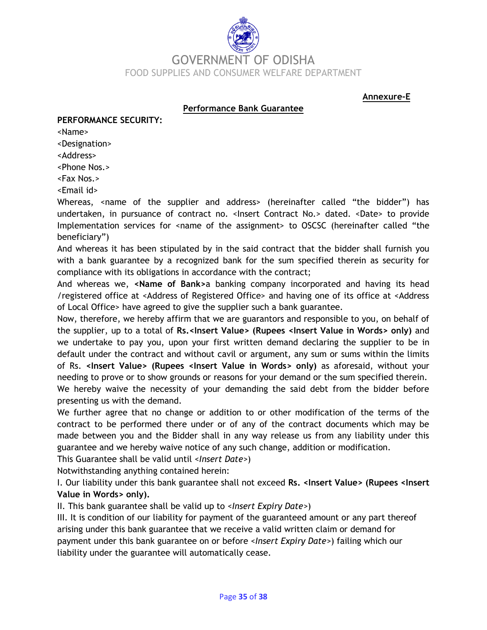

**Annexure-E**

#### **Performance Bank Guarantee**

#### **PERFORMANCE SECURITY:**

<Name>

<Designation>

<Address>

<Phone Nos.>

<Fax Nos.>

<Email id>

Whereas, <name of the supplier and address> (hereinafter called "the bidder") has undertaken, in pursuance of contract no. < Insert Contract No.> dated. < Date> to provide Implementation services for <name of the assignment> to OSCSC (hereinafter called "the beneficiary")

And whereas it has been stipulated by in the said contract that the bidder shall furnish you with a bank guarantee by a recognized bank for the sum specified therein as security for compliance with its obligations in accordance with the contract;

And whereas we, **<Name of Bank>**a banking company incorporated and having its head /registered office at <Address of Registered Office> and having one of its office at <Address of Local Office> have agreed to give the supplier such a bank guarantee.

Now, therefore, we hereby affirm that we are guarantors and responsible to you, on behalf of the supplier, up to a total of **Rs.<Insert Value> (Rupees <Insert Value in Words> only)** and we undertake to pay you, upon your first written demand declaring the supplier to be in default under the contract and without cavil or argument, any sum or sums within the limits of Rs. **<Insert Value> (Rupees <Insert Value in Words> only)** as aforesaid, without your needing to prove or to show grounds or reasons for your demand or the sum specified therein. We hereby waive the necessity of your demanding the said debt from the bidder before presenting us with the demand.

We further agree that no change or addition to or other modification of the terms of the contract to be performed there under or of any of the contract documents which may be made between you and the Bidder shall in any way release us from any liability under this guarantee and we hereby waive notice of any such change, addition or modification.

This Guarantee shall be valid until *<Insert Date>*)

Notwithstanding anything contained herein:

I. Our liability under this bank guarantee shall not exceed **Rs. <Insert Value> (Rupees <Insert Value in Words> only).** 

II. This bank guarantee shall be valid up to *<Insert Expiry Date>*)

III. It is condition of our liability for payment of the guaranteed amount or any part thereof arising under this bank guarantee that we receive a valid written claim or demand for payment under this bank guarantee on or before *<Insert Expiry Date>*) failing which our liability under the guarantee will automatically cease.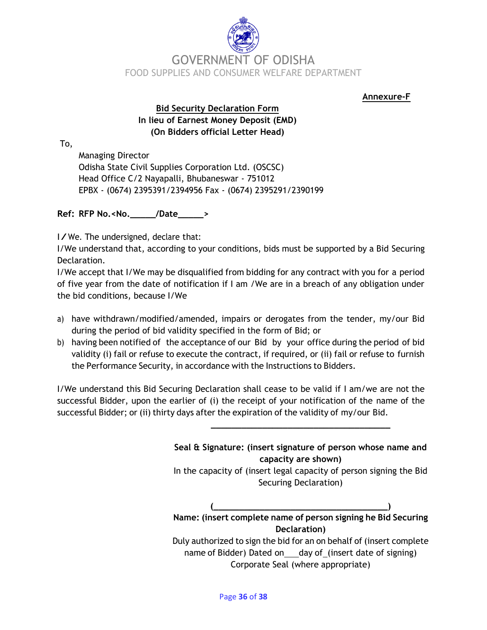

**Annexure-F**

#### **Bid Security Declaration Form In lieu of Earnest Money Deposit (EMD) (On Bidders official Letter Head)**

To,

Managing Director Odisha State Civil Supplies Corporation Ltd. (OSCSC) Head Office C/2 Nayapalli, Bhubaneswar - 751012 EPBX - (0674) 2395391/2394956 Fax - (0674) 2395291/2390199

**Ref: RFP No.<No.\_\_\_\_\_/Date\_\_\_\_\_>**

I/We. The undersigned, declare that:

I/We understand that, according to your conditions, bids must be supported by a Bid Securing Declaration.

I/We accept that I/We may be disqualified from bidding for any contract with you for a period of five year from the date of notification if I am /We are in a breach of any obligation under the bid conditions, because I/We

- a) have withdrawn/modified/amended, impairs or derogates from the tender, my/our Bid during the period of bid validity specified in the form of Bid; or
- b) having been notified of the acceptance of our Bid by your office during the period of bid validity (i) fail or refuse to execute the contract, if required, or (ii) fail or refuse to furnish the Performance Security, in accordance with the Instructions to Bidders.

I/We understand this Bid Securing Declaration shall cease to be valid if I am/we are not the successful Bidder, upon the earlier of (i) the receipt of your notification of the name of the successful Bidder; or (ii) thirty days after the expiration of the validity of my/our Bid.

> **Seal & Signature: (insert signature of person whose name and capacity are shown)** In the capacity of (insert legal capacity of person signing the Bid Securing Declaration) **(\_\_\_\_\_\_\_\_\_\_\_\_\_\_\_\_\_\_\_\_\_\_\_\_\_\_\_\_\_\_\_\_\_\_) Name: (insert complete name of person signing he Bid Securing Declaration)**

**\_\_\_\_\_\_\_\_\_\_\_\_\_\_\_\_\_\_\_\_\_\_\_\_\_\_\_\_\_\_\_\_\_\_\_**

Duly authorized to sign the bid for an on behalf of (insert complete name of Bidder) Dated on day of (insert date of signing) Corporate Seal (where appropriate)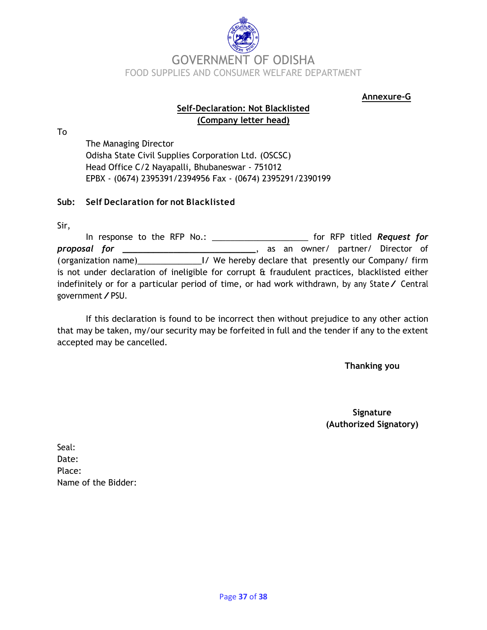

**Annexure-G**

#### **Self-Declaration: Not Blacklisted (Company letter head)**

To

The Managing Director Odisha State Civil Supplies Corporation Ltd. (OSCSC) Head Office C/2 Nayapalli, Bhubaneswar - 751012 EPBX - (0674) 2395391/2394956 Fax - (0674) 2395291/2390199

#### **Sub: Self Declaration for not Blacklisted**

Sir,

In response to the RFP No.: \_\_\_\_\_\_\_\_\_\_\_\_\_\_\_\_\_\_\_\_\_ for RFP titled *Request for proposal for \_\_\_\_\_\_\_\_\_\_\_\_\_\_\_\_\_\_\_\_\_\_\_\_\_\_*, as an owner/ partner/ Director of (organization name)\_\_\_\_\_\_\_\_\_\_\_\_\_\_I/ We hereby declare that presently our Company/ firm is not under declaration of ineligible for corrupt & fraudulent practices, blacklisted either indefinitely or for a particular period of time, or had work withdrawn, by any State/ Central government/PSU.

If this declaration is found to be incorrect then without prejudice to any other action that may be taken, my/our security may be forfeited in full and the tender if any to the extent accepted may be cancelled.

**Thanking you**

**Signature (Authorized Signatory)**

Seal: Date: Place: Name of the Bidder: